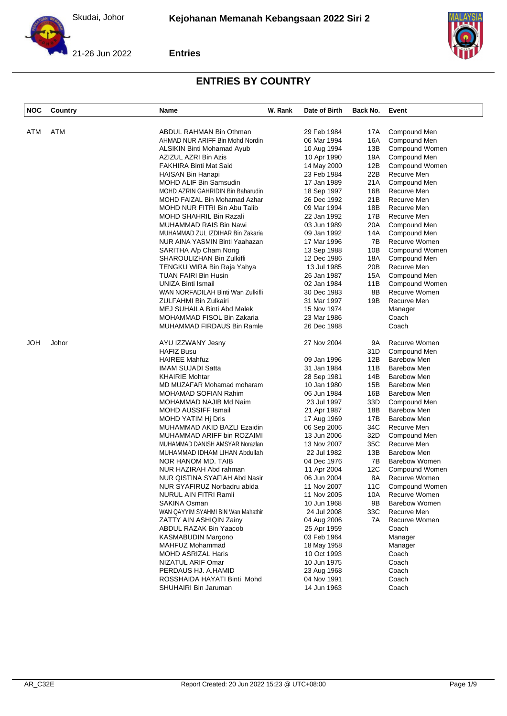



| <b>NOC</b> | Country | Name                               | W. Rank | Date of Birth | Back No. | Event                 |
|------------|---------|------------------------------------|---------|---------------|----------|-----------------------|
|            |         |                                    |         |               |          |                       |
| ATM        | ATM     | ABDUL RAHMAN Bin Othman            |         | 29 Feb 1984   | 17A      | Compound Men          |
|            |         | AHMAD NUR ARIFF Bin Mohd Nordin    |         | 06 Mar 1994   | 16A      | Compound Men          |
|            |         | ALSIKIN Binti Mohamad Ayub         |         | 10 Aug 1994   | 13B      | Compound Women        |
|            |         | AZIZUL AZRI Bin Azis               |         | 10 Apr 1990   | 19A      | Compound Men          |
|            |         | <b>FAKHIRA Binti Mat Said</b>      |         | 14 May 2000   | 12B      | Compound Women        |
|            |         | HAISAN Bin Hanapi                  |         | 23 Feb 1984   | 22B      | Recurve Men           |
|            |         | <b>MOHD ALIF Bin Samsudin</b>      |         | 17 Jan 1989   | 21A      | Compound Men          |
|            |         | MOHD AZRIN GAHRIDIN Bin Baharudin  |         | 18 Sep 1997   | 16B      | Recurve Men           |
|            |         | MOHD FAIZAL Bin Mohamad Azhar      |         | 26 Dec 1992   | 21B      | Recurve Men           |
|            |         | MOHD NUR FITRI Bin Abu Talib       |         | 09 Mar 1994   | 18B      | Recurve Men           |
|            |         | <b>MOHD SHAHRIL Bin Razali</b>     |         | 22 Jan 1992   | 17B      | Recurve Men           |
|            |         | MUHAMMAD RAIS Bin Nawi             |         | 03 Jun 1989   | 20A      | Compound Men          |
|            |         | MUHAMMAD ZUL IZDIHAR Bin Zakaria   |         | 09 Jan 1992   | 14A      | Compound Men          |
|            |         | NUR AINA YASMIN Binti Yaahazan     |         | 17 Mar 1996   | 7B       | Recurve Women         |
|            |         | SARITHA A/p Cham Nong              |         | 13 Sep 1988   | 10B      | Compound Women        |
|            |         | SHAROULIZHAN Bin Zulkifli          |         | 12 Dec 1986   | 18A      | Compound Men          |
|            |         | TENGKU WIRA Bin Raja Yahya         |         | 13 Jul 1985   | 20B      | Recurve Men           |
|            |         | <b>TUAN FAIRI Bin Husin</b>        |         | 26 Jan 1987   | 15A      | Compound Men          |
|            |         | UNIZA Binti Ismail                 |         | 02 Jan 1984   | 11B      | Compound Women        |
|            |         | WAN NORFADILAH Binti Wan Zulkifli  |         | 30 Dec 1983   | 8B       | Recurve Women         |
|            |         | <b>ZULFAHMI Bin Zulkairi</b>       |         | 31 Mar 1997   | 19B      | Recurve Men           |
|            |         | MEJ SUHAILA Binti Abd Malek        |         | 15 Nov 1974   |          | Manager               |
|            |         | MOHAMMAD FISOL Bin Zakaria         |         | 23 Mar 1986   |          | Coach                 |
|            |         | MUHAMMAD FIRDAUS Bin Ramle         |         | 26 Dec 1988   |          | Coach                 |
| JOH        | Johor   | AYU IZZWANY Jesny                  |         | 27 Nov 2004   | 9A       | Recurve Women         |
|            |         | <b>HAFIZ Busu</b>                  |         |               | 31D      | Compound Men          |
|            |         | <b>HAIREE Mahfuz</b>               |         | 09 Jan 1996   | 12B      | <b>Barebow Men</b>    |
|            |         | <b>IMAM SUJADI Satta</b>           |         | 31 Jan 1984   | 11B      | <b>Barebow Men</b>    |
|            |         | <b>KHAIRIE Mohtar</b>              |         | 28 Sep 1981   | 14B      | <b>Barebow Men</b>    |
|            |         | MD MUZAFAR Mohamad moharam         |         | 10 Jan 1980   | 15B      | <b>Barebow Men</b>    |
|            |         | MOHAMAD SOFIAN Rahim               |         | 06 Jun 1984   | 16B      | <b>Barebow Men</b>    |
|            |         | MOHAMMAD NAJIB Md Naim             |         | 23 Jul 1997   | 33D      | Compound Men          |
|            |         | MOHD AUSSIFF Ismail                |         | 21 Apr 1987   | 18B      | <b>Barebow Men</b>    |
|            |         | MOHD YATIM Hi Dris                 |         | 17 Aug 1969   | 17B      | <b>Barebow Men</b>    |
|            |         | MUHAMMAD AKID BAZLI Ezaidin        |         | 06 Sep 2006   | 34C      | Recurve Men           |
|            |         | MUHAMMAD ARIFF bin ROZAIMI         |         | 13 Jun 2006   | 32D      | Compound Men          |
|            |         | MUHAMMAD DANISH AMSYAR Norazlan    |         | 13 Nov 2007   | 35C      | Recurve Men           |
|            |         | MUHAMMAD IDHAM LIHAN Abdullah      |         | 22 Jul 1982   | 13B      | <b>Barebow Men</b>    |
|            |         | NOR HANOM MD. TAIB                 |         | 04 Dec 1976   | 7B       | <b>Barebow Women</b>  |
|            |         | NUR HAZIRAH Abd rahman             |         | 11 Apr 2004   | 12C      | Compound Women        |
|            |         | NUR QISTINA SYAFIAH Abd Nasir      |         | 06 Jun 2004   | 8A       | Recurve Women         |
|            |         | NUR SYAFIRUZ Norbadru abida        |         | 11 Nov 2007   | 11C      | <b>Compound Women</b> |
|            |         | NURUL AIN FITRI Ramli              |         | 11 Nov 2005   | 10A      | Recurve Women         |
|            |         | SAKINA Osman                       |         | 10 Jun 1968   | 9Β       | <b>Barebow Women</b>  |
|            |         | WAN QAYYIM SYAHMI BIN Wan Mahathir |         | 24 Jul 2008   | 33C      | Recurve Men           |
|            |         | ZATTY AIN ASHIQIN Zainy            |         | 04 Aug 2006   | 7A       | Recurve Women         |
|            |         | ABDUL RAZAK Bin Yaacob             |         | 25 Apr 1959   |          | Coach                 |
|            |         | KASMABUDIN Margono                 |         | 03 Feb 1964   |          | Manager               |
|            |         | MAHFUZ Mohammad                    |         | 18 May 1958   |          | Manager               |
|            |         | MOHD ASRIZAL Haris                 |         | 10 Oct 1993   |          | Coach                 |
|            |         | NIZATUL ARIF Omar                  |         | 10 Jun 1975   |          | Coach                 |
|            |         | PERDAUS HJ. A.HAMID                |         | 23 Aug 1968   |          | Coach                 |
|            |         | ROSSHAIDA HAYATI Binti Mohd        |         | 04 Nov 1991   |          | Coach                 |
|            |         | SHUHAIRI Bin Jaruman               |         | 14 Jun 1963   |          | Coach                 |
|            |         |                                    |         |               |          |                       |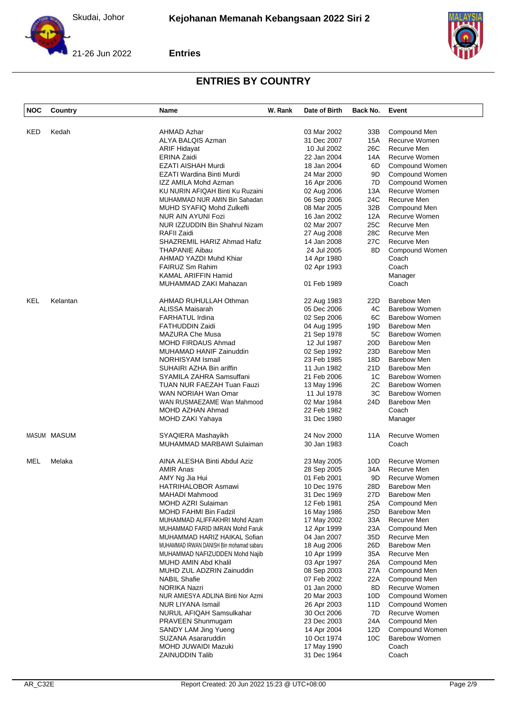



| <b>NOC</b> | Country     | Name                                     | W. Rank | Date of Birth | Back No. | Event                |
|------------|-------------|------------------------------------------|---------|---------------|----------|----------------------|
| KED        | Kedah       | <b>AHMAD Azhar</b>                       |         | 03 Mar 2002   | 33B      | Compound Men         |
|            |             | ALYA BALQIS Azman                        |         | 31 Dec 2007   | 15A      | Recurve Women        |
|            |             | <b>ARIF Hidayat</b>                      |         | 10 Jul 2002   | 26C      | Recurve Men          |
|            |             | ERINA Zaidi                              |         | 22 Jan 2004   | 14A      | Recurve Women        |
|            |             | <b>EZATI AISHAH Murdi</b>                |         | 18 Jan 2004   | 6D       | Compound Women       |
|            |             | EZATI Wardina Binti Murdi                |         | 24 Mar 2000   | 9D       | Compound Women       |
|            |             | IZZ AMILA Mohd Azman                     |         | 16 Apr 2006   | 7D       | Compound Women       |
|            |             | KU NURIN AFIQAH Binti Ku Ruzaini         |         | 02 Aug 2006   | 13A      | Recurve Women        |
|            |             | MUHAMMAD NUR AMIN Bin Sahadan            |         | 06 Sep 2006   | 24C      | Recurve Men          |
|            |             | MUHD SYAFIQ Mohd Zulkefli                |         | 08 Mar 2005   | 32B      | Compound Men         |
|            |             | NUR AIN AYUNI Fozi                       |         | 16 Jan 2002   | 12A      | Recurve Women        |
|            |             | NUR IZZUDDIN Bin Shahrul Nizam           |         | 02 Mar 2007   | 25C      | Recurve Men          |
|            |             | RAFII Zaidi                              |         | 27 Aug 2008   | 28C      | Recurve Men          |
|            |             | SHAZREMIL HARIZ Ahmad Hafiz              |         | 14 Jan 2008   | 27C      | Recurve Men          |
|            |             | <b>THAPANIE Aibau</b>                    |         | 24 Jul 2005   | 8D       | Compound Women       |
|            |             | AHMAD YAZDI Muhd Khiar                   |         | 14 Apr 1980   |          | Coach                |
|            |             | <b>FAIRUZ Sm Rahim</b>                   |         | 02 Apr 1993   |          | Coach                |
|            |             | KAMAL ARIFFIN Hamid                      |         |               |          |                      |
|            |             |                                          |         | 01 Feb 1989   |          | Manager<br>Coach     |
|            |             | MUHAMMAD ZAKI Mahazan                    |         |               |          |                      |
| KEL        | Kelantan    | AHMAD RUHULLAH Othman                    |         | 22 Aug 1983   | 22D      | Barebow Men          |
|            |             | ALISSA Maisarah                          |         | 05 Dec 2006   | 4C       | <b>Barebow Women</b> |
|            |             | <b>FARHATUL Irdina</b>                   |         | 02 Sep 2006   | 6C       | Barebow Women        |
|            |             | <b>FATHUDDIN Zaidi</b>                   |         | 04 Aug 1995   | 19D      | <b>Barebow Men</b>   |
|            |             | MAZURA Che Musa                          |         | 21 Sep 1978   | 5C       | Barebow Women        |
|            |             | MOHD FIRDAUS Ahmad                       |         | 12 Jul 1987   | 20D      | <b>Barebow Men</b>   |
|            |             | MUHAMAD HANIF Zainuddin                  |         | 02 Sep 1992   | 23D      | <b>Barebow Men</b>   |
|            |             | <b>NORHISYAM Ismail</b>                  |         | 23 Feb 1985   | 18D      | Barebow Men          |
|            |             | SUHAIRI AZHA Bin ariffin                 |         | 11 Jun 1982   | 21D      | <b>Barebow Men</b>   |
|            |             | SYAMILA ZAHRA Samsuffani                 |         | 21 Feb 2006   | 1C       | <b>Barebow Women</b> |
|            |             | TUAN NUR FAEZAH Tuan Fauzi               |         | 13 May 1996   | 2C       | Barebow Women        |
|            |             | WAN NORIAH Wan Omar                      |         | 11 Jul 1978   | ЗC       | <b>Barebow Women</b> |
|            |             | WAN RUSMAEZAME Wan Mahmood               |         | 02 Mar 1984   | 24D      | <b>Barebow Men</b>   |
|            |             | MOHD AZHAN Ahmad                         |         | 22 Feb 1982   |          | Coach                |
|            |             | MOHD ZAKI Yahaya                         |         | 31 Dec 1980   |          | Manager              |
|            | MASUM MASUM | SYAQIERA Mashayikh                       |         | 24 Nov 2000   | 11A      | Recurve Women        |
|            |             | MUHAMMAD MARBAWI Sulaiman                |         | 30 Jan 1983   |          | Coach                |
| <b>MEL</b> | Melaka      | AINA ALESHA Binti Abdul Aziz             |         | 23 May 2005   | 10D      | Recurve Women        |
|            |             | <b>AMIR Anas</b>                         |         | 28 Sep 2005   | 34A      | Recurve Men          |
|            |             | AMY Ng Jia Hui                           |         | 01 Feb 2001   | 9D       | Recurve Women        |
|            |             | HATRIHALOBOR Asmawi                      |         | 10 Dec 1976   | 28D      | <b>Barebow Men</b>   |
|            |             | MAHADI Mahmood                           |         | 31 Dec 1969   | 27D      | <b>Barebow Men</b>   |
|            |             | MOHD AZRI Sulaiman                       |         | 12 Feb 1981   | 25A      | Compound Men         |
|            |             | MOHD FAHMI Bin Fadzil                    |         | 16 May 1986   | 25D      | <b>Barebow Men</b>   |
|            |             | MUHAMMAD ALIFFAKHRI Mohd Azam            |         | 17 May 2002   | 33A      | Recurve Men          |
|            |             | MUHAMMAD FARID IMRAN Mohd Faruk          |         | 12 Apr 1999   | 23A      | Compound Men         |
|            |             | MUHAMMAD HARIZ HAIKAL Sofian             |         | 04 Jan 2007   | 35D      | Recurve Men          |
|            |             | MUHAMMAD IRWAN DANISH Bin mohamad sabaru |         | 18 Aug 2006   | 26D      | <b>Barebow Men</b>   |
|            |             | MUHAMMAD NAFIZUDDEN Mohd Najib           |         | 10 Apr 1999   | 35A      | Recurve Men          |
|            |             | <b>MUHD AMIN Abd Khalil</b>              |         |               | 26A      | Compound Men         |
|            |             |                                          |         | 03 Apr 1997   |          |                      |
|            |             | MUHD ZUL ADZRIN Zainuddin                |         | 08 Sep 2003   | 27A      | Compound Men         |
|            |             | <b>NABIL Shafie</b>                      |         | 07 Feb 2002   | 22A      | Compound Men         |
|            |             | <b>NORIKA Nazri</b>                      |         | 01 Jan 2000   | 8D       | Recurve Women        |
|            |             | NUR AMIESYA ADLINA Binti Nor Azmi        |         | 20 Mar 2003   | 10D      | Compound Women       |
|            |             | NUR LIYANA Ismail                        |         | 26 Apr 2003   | 11D      | Compound Women       |
|            |             | NURUL AFIQAH Samsulkahar                 |         | 30 Oct 2006   | 7D       | Recurve Women        |
|            |             | PRAVEEN Shunmugam                        |         | 23 Dec 2003   | 24A      | Compound Men         |
|            |             | SANDY LAM Jing Yueng                     |         | 14 Apr 2004   | 12D      | Compound Women       |
|            |             | SUZANA Asararuddin                       |         | 10 Oct 1974   | 10C      | <b>Barebow Women</b> |
|            |             | MOHD JUWAIDI Mazuki                      |         | 17 May 1990   |          | Coach                |
|            |             | <b>ZAINUDDIN Talib</b>                   |         | 31 Dec 1964   |          | Coach                |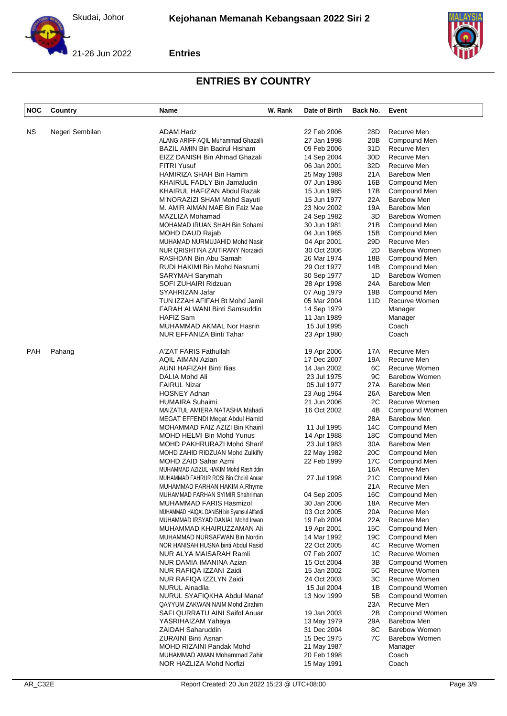



| <b>NOC</b> | Country         | Name                                       | W. Rank | Date of Birth | Back No.        | Event                 |
|------------|-----------------|--------------------------------------------|---------|---------------|-----------------|-----------------------|
|            |                 |                                            |         |               |                 |                       |
| NS.        | Negeri Sembilan | <b>ADAM Hariz</b>                          |         | 22 Feb 2006   | 28D             | Recurve Men           |
|            |                 | ALANG ARIFF AQIL Muhammad Ghazalli         |         | 27 Jan 1998   | 20 <sub>B</sub> | Compound Men          |
|            |                 | BAZIL AMIN Bin Badrul Hisham               |         | 09 Feb 2006   | 31D             | Recurve Men           |
|            |                 | EIZZ DANISH Bin Ahmad Ghazali              |         | 14 Sep 2004   | 30D             | Recurve Men           |
|            |                 | <b>FITRI Yusuf</b>                         |         | 06 Jan 2001   | 32D             | Recurve Men           |
|            |                 | HAMIRIZA SHAH Bin Hamim                    |         | 25 May 1988   | 21A             | <b>Barebow Men</b>    |
|            |                 | KHAIRUL FADLY Bin Jamaludin                |         | 07 Jun 1986   | 16B             | Compound Men          |
|            |                 | KHAIRUL HAFIZAN Abdul Razak                |         | 15 Jun 1985   | 17B             | Compound Men          |
|            |                 | M NORAZIZI SHAM Mohd Sayuti                |         | 15 Jun 1977   | 22A             | <b>Barebow Men</b>    |
|            |                 | M. AMIR AIMAN MAE Bin Faiz Mae             |         | 23 Nov 2002   | 19A             | Barebow Men           |
|            |                 | MAZLIZA Mohamad                            |         | 24 Sep 1982   | 3D              | Barebow Women         |
|            |                 | MOHAMAD IRUAN SHAH Bin Sohami              |         | 30 Jun 1981   | 21B             | Compound Men          |
|            |                 | MOHD DAUD Rajab                            |         | 04 Jun 1965   | 15B             | Compound Men          |
|            |                 | MUHAMAD NURMUJAHID Mohd Nasir              |         | 04 Apr 2001   | 29D             | Recurve Men           |
|            |                 | NUR QRISHTINA ZAITIRANY Norzaidi           |         | 30 Oct 2006   | 2D              | <b>Barebow Women</b>  |
|            |                 | RASHDAN Bin Abu Samah                      |         | 26 Mar 1974   | 18B             | Compound Men          |
|            |                 | RUDI HAKIMI Bin Mohd Nasrumi               |         | 29 Oct 1977   | 14B             | Compound Men          |
|            |                 | SARYMAH Sarymah                            |         | 30 Sep 1977   | 1D              | <b>Barebow Women</b>  |
|            |                 | SOFI ZUHAIRI Ridzuan                       |         | 28 Apr 1998   | 24A             | <b>Barebow Men</b>    |
|            |                 | SYAHRIZAN Jafar                            |         | 07 Aug 1979   | 19B             | Compound Men          |
|            |                 | TUN IZZAH AFIFAH Bt Mohd Jamil             |         | 05 Mar 2004   | 11D             | Recurve Women         |
|            |                 | FARAH ALWANI Binti Samsuddin               |         | 14 Sep 1979   |                 | Manager               |
|            |                 | <b>HAFIZ Sam</b>                           |         | 11 Jan 1989   |                 | Manager               |
|            |                 | MUHAMMAD AKMAL Nor Hasrin                  |         | 15 Jul 1995   |                 | Coach                 |
|            |                 | NUR EFFANIZA Binti Tahar                   |         | 23 Apr 1980   |                 | Coach                 |
| <b>PAH</b> | Pahang          | A'ZAT FARIS Fathullah                      |         | 19 Apr 2006   | 17A             | Recurve Men           |
|            |                 | <b>AQIL AIMAN Azian</b>                    |         | 17 Dec 2007   | 19A             | Recurve Men           |
|            |                 | AUNI HAFIZAH Binti Ilias                   |         | 14 Jan 2002   | 6C              | Recurve Women         |
|            |                 | DALIA Mohd Ali                             |         | 23 Jul 1975   | 9C              | <b>Barebow Women</b>  |
|            |                 | <b>FAIRUL Nizar</b>                        |         | 05 Jul 1977   | 27A             | Barebow Men           |
|            |                 | <b>HOSNEY Adnan</b>                        |         | 23 Aug 1964   | 26A             | <b>Barebow Men</b>    |
|            |                 | <b>HUMAIRA Suhaimi</b>                     |         | 21 Jun 2006   | 2C              | Recurve Women         |
|            |                 | MAIZATUL AMIERA NATASHA Mahadi             |         | 16 Oct 2002   | 4B              | Compound Women        |
|            |                 | MEGAT EFFENDI Megat Abdul Hamid            |         |               | 28A             | <b>Barebow Men</b>    |
|            |                 | MOHAMMAD FAIZ AZIZI Bin Khairil            |         | 11 Jul 1995   | 14C             | Compound Men          |
|            |                 | MOHD HELMI Bin Mohd Yunus                  |         | 14 Apr 1988   | 18C             | Compound Men          |
|            |                 | MOHD PAKHRURAZI Mohd Sharif                |         | 23 Jul 1983   | 30A             | <b>Barebow Men</b>    |
|            |                 | MOHD ZAHID RIDZUAN Mohd Zulkifly           |         | 22 May 1982   | 20C             | Compound Men          |
|            |                 | MOHD ZAID Sahar Azmi                       |         | 22 Feb 1999   | 17C             | Compound Men          |
|            |                 | MUHAMMAD AZIZUL HAKIM Mohd Rashiddin       |         |               | 16A             | Recurve Men           |
|            |                 | MUHAMMAD FAHRUR ROSI Bin Choiril Anuar     |         | 27 Jul 1998   | 21C             | Compound Men          |
|            |                 | MUHAMMAD FARHAN HAKIM A.Rhyme              |         |               | 21 A            | Recurve Men           |
|            |                 | MUHAMMAD FARHAN SYIMIR Shahriman           |         | 04 Sep 2005   | 16C             | Compound Men          |
|            |                 | MUHAMMAD FARIS Hasmizol                    |         | 30 Jan 2006   | 18A             | Recurve Men           |
|            |                 | MUHAMMAD HAIQAL DANISH bin Syamsul Affandi |         | 03 Oct 2005   | 20A             | Recurve Men           |
|            |                 | MUHAMMAD IRSYAD DANIAL Mohd Irwan          |         | 19 Feb 2004   | 22A             | Recurve Men           |
|            |                 | MUHAMMAD KHAIRUZZAMAN Ali                  |         | 19 Apr 2001   | 15C             | Compound Men          |
|            |                 | MUHAMMAD NURSAFWAN Bin Nordin              |         | 14 Mar 1992   | 19C             | Compound Men          |
|            |                 | NOR HANISAH HUSNA binti Abdul Rasid        |         | 22 Oct 2005   | 4C              | Recurve Women         |
|            |                 | NUR ALYA MAISARAH Ramli                    |         | 07 Feb 2007   | 1C              | Recurve Women         |
|            |                 | NUR DAMIA IMANINA Azian                    |         | 15 Oct 2004   | 3B              | <b>Compound Women</b> |
|            |                 | NUR RAFIQA IZZANI Zaidi                    |         | 15 Jan 2002   | 5C              | Recurve Women         |
|            |                 | NUR RAFIQA IZZLYN Zaidi                    |         | 24 Oct 2003   | ЗC              | Recurve Women         |
|            |                 | <b>NURUL Ainadila</b>                      |         | 15 Jul 2004   | 1B              | Compound Women        |
|            |                 | NURUL SYAFIQKHA Abdul Manaf                |         | 13 Nov 1999   | 5Β              | Compound Women        |
|            |                 | QAYYUM ZAKWAN NAIM Mohd Zirahim            |         |               | 23A             | Recurve Men           |
|            |                 | SAFI QURRATU AINI Saifol Anuar             |         | 19 Jan 2003   | 2Β              | Compound Women        |
|            |                 | YASRIHAIZAM Yahaya                         |         | 13 May 1979   | 29A             | <b>Barebow Men</b>    |
|            |                 | <b>ZAIDAH Saharuddin</b>                   |         | 31 Dec 2004   | 8C              | <b>Barebow Women</b>  |
|            |                 | <b>ZURAINI Binti Asnan</b>                 |         | 15 Dec 1975   | 7C              | <b>Barebow Women</b>  |
|            |                 | MOHD RIZAINI Pandak Mohd                   |         | 21 May 1987   |                 | Manager               |
|            |                 | MUHAMMAD AMAN Mohammad Zahir               |         | 20 Feb 1998   |                 | Coach                 |
|            |                 | NOR HAZLIZA Mohd Norfizi                   |         | 15 May 1991   |                 | Coach                 |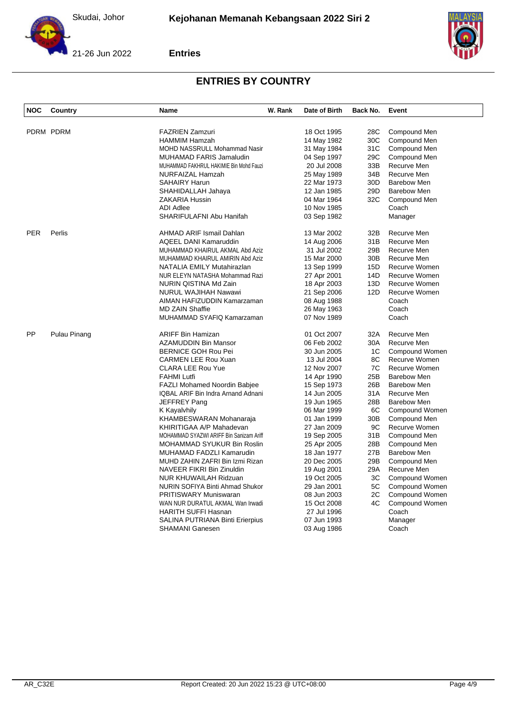





| <b>NOC</b> | Country      | <b>Name</b>                             | W. Rank | Date of Birth              | Back No.               | Event                |
|------------|--------------|-----------------------------------------|---------|----------------------------|------------------------|----------------------|
|            |              |                                         |         |                            |                        |                      |
|            | PDRM PDRM    | <b>FAZRIEN Zamzuri</b>                  |         | 18 Oct 1995                | 28C                    | Compound Men         |
|            |              | <b>HAMMIM Hamzah</b>                    |         | 14 May 1982                | 30C                    | Compound Men         |
|            |              | <b>MOHD NASSRULL Mohammad Nasir</b>     |         | 31 May 1984                | 31C                    | Compound Men         |
|            |              | MUHAMAD FARIS Jamaludin                 |         | 04 Sep 1997                | 29C                    | Compound Men         |
|            |              | MUHAMMAD FAKHRUL HAKIMIE Bin Mohd Fauzi |         | 20 Jul 2008                | 33B                    | Recurve Men          |
|            |              | NURFAIZAL Hamzah                        |         | 25 May 1989                | 34B                    | Recurve Men          |
|            |              | <b>SAHAIRY Harun</b>                    |         | 22 Mar 1973                | 30 <sub>D</sub>        | <b>Barebow Men</b>   |
|            |              | SHAHIDALLAH Jahaya                      |         | 12 Jan 1985                | 29 <sub>D</sub><br>32C | <b>Barebow Men</b>   |
|            |              | ZAKARIA Hussin<br><b>ADI Adlee</b>      |         | 04 Mar 1964<br>10 Nov 1985 |                        | Compound Men         |
|            |              | SHARIFULAFNI Abu Hanifah                |         |                            |                        | Coach                |
|            |              |                                         |         | 03 Sep 1982                |                        | Manager              |
| <b>PER</b> | Perlis       | AHMAD ARIF Ismail Dahlan                |         | 13 Mar 2002                | 32B                    | Recurve Men          |
|            |              | AQEEL DANI Kamaruddin                   |         | 14 Aug 2006                | 31B                    | Recurve Men          |
|            |              | MUHAMMAD KHAIRUL AKMAL Abd Aziz         |         | 31 Jul 2002                | 29B                    | Recurve Men          |
|            |              | MUHAMMAD KHAIRUL AMIRIN Abd Aziz        |         | 15 Mar 2000                | 30 <sub>B</sub>        | Recurve Men          |
|            |              | NATALIA EMILY Mutahirazlan              |         | 13 Sep 1999                | 15D                    | Recurve Women        |
|            |              | NUR ELEYN NATASHA Mohammad Razi         |         | 27 Apr 2001                | 14D                    | Recurve Women        |
|            |              | NURIN QISTINA Md Zain                   |         | 18 Apr 2003                | 13D                    | Recurve Women        |
|            |              | <b>NURUL WAJIHAH Nawawi</b>             |         | 21 Sep 2006                | 12D                    | <b>Recurve Women</b> |
|            |              | AIMAN HAFIZUDDIN Kamarzaman             |         | 08 Aug 1988                |                        | Coach                |
|            |              | <b>MD ZAIN Shaffie</b>                  |         | 26 May 1963                |                        | Coach                |
|            |              | MUHAMMAD SYAFIQ Kamarzaman              |         | 07 Nov 1989                |                        | Coach                |
| PP         | Pulau Pinang | <b>ARIFF Bin Hamizan</b>                |         | 01 Oct 2007                | 32A                    | Recurve Men          |
|            |              | AZAMUDDIN Bin Mansor                    |         | 06 Feb 2002                | 30A                    | Recurve Men          |
|            |              | <b>BERNICE GOH Rou Pei</b>              |         | 30 Jun 2005                | 1C                     | Compound Women       |
|            |              | <b>CARMEN LEE Rou Xuan</b>              |         | 13 Jul 2004                | 8C                     | Recurve Women        |
|            |              | <b>CLARA LEE Rou Yue</b>                |         | 12 Nov 2007                | 7C                     | Recurve Women        |
|            |              | <b>FAHMI Lutfi</b>                      |         | 14 Apr 1990                | 25B                    | <b>Barebow Men</b>   |
|            |              | <b>FAZLI Mohamed Noordin Babjee</b>     |         | 15 Sep 1973                | 26B                    | Barebow Men          |
|            |              | IQBAL ARIF Bin Indra Arnand Adnani      |         | 14 Jun 2005                | 31A                    | Recurve Men          |
|            |              | JEFFREY Pang                            |         | 19 Jun 1965                | 28B                    | <b>Barebow Men</b>   |
|            |              | K Kayalvhily                            |         | 06 Mar 1999                | 6C                     | Compound Women       |
|            |              | KHAMBESWARAN Mohanaraja                 |         | 01 Jan 1999                | 30B                    | Compound Men         |
|            |              | KHIRITIGAA A/P Mahadevan                |         | 27 Jan 2009                | 9C                     | Recurve Women        |
|            |              | MOHAMMAD SYAZWI ARIFF Bin Sanizam Ariff |         | 19 Sep 2005                | 31B                    | Compound Men         |
|            |              | MOHAMMAD SYUKUR Bin Roslin              |         | 25 Apr 2005                | 28B                    | Compound Men         |
|            |              | MUHAMAD FADZLI Kamarudin                |         | 18 Jan 1977                | 27B                    | <b>Barebow Men</b>   |
|            |              | MUHD ZAHIN ZAFRI Bin Izmi Rizan         |         | 20 Dec 2005                | 29B                    | Compound Men         |
|            |              | NAVEER FIKRI Bin Zinuldin               |         | 19 Aug 2001                | 29A                    | Recurve Men          |
|            |              | <b>NUR KHUWAILAH Ridzuan</b>            |         | 19 Oct 2005                | ЗC                     | Compound Women       |
|            |              | NURIN SOFIYA Binti Ahmad Shukor         |         | 29 Jan 2001                | 5C                     | Compound Women       |
|            |              | <b>PRITISWARY Muniswaran</b>            |         | 08 Jun 2003                | 2C                     | Compound Women       |
|            |              | WAN NUR DURATUL AKMAL Wan Irwadi        |         | 15 Oct 2008                | 4C                     | Compound Women       |
|            |              | <b>HARITH SUFFI Hasnan</b>              |         | 27 Jul 1996                |                        | Coach                |
|            |              | SALINA PUTRIANA Binti Erierpius         |         | 07 Jun 1993                |                        | Manager              |
|            |              | <b>SHAMANI Ganesen</b>                  |         | 03 Aug 1986                |                        | Coach                |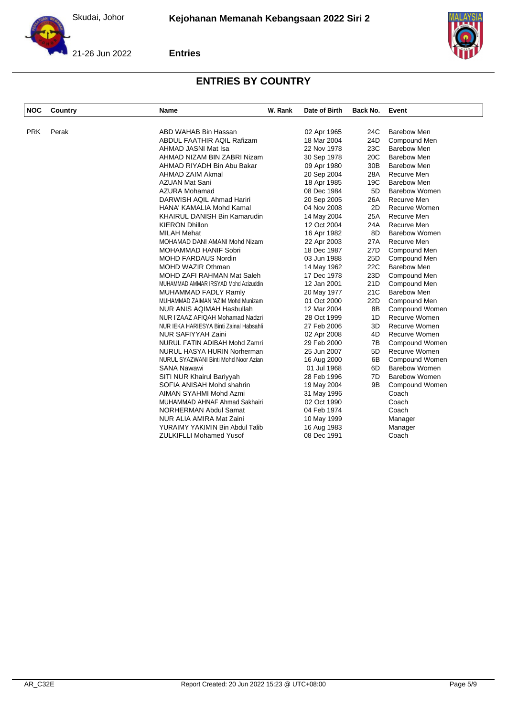



| <b>NOC</b> | Country | Name                                    | W. Rank | Date of Birth | Back No.        | Event                 |
|------------|---------|-----------------------------------------|---------|---------------|-----------------|-----------------------|
|            |         |                                         |         |               |                 |                       |
| <b>PRK</b> | Perak   | ABD WAHAB Bin Hassan                    |         | 02 Apr 1965   | 24C             | <b>Barebow Men</b>    |
|            |         | ABDUL FAATHIR AQIL Rafizam              |         | 18 Mar 2004   | 24D             | Compound Men          |
|            |         | AHMAD JASNI Mat Isa                     |         | 22 Nov 1978   | 23C             | <b>Barebow Men</b>    |
|            |         | AHMAD NIZAM BIN ZABRI Nizam             |         | 30 Sep 1978   | 20C             | <b>Barebow Men</b>    |
|            |         | AHMAD RIYADH Bin Abu Bakar              |         | 09 Apr 1980   | 30B             | <b>Barebow Men</b>    |
|            |         | AHMAD ZAIM Akmal                        |         | 20 Sep 2004   | 28A             | Recurve Men           |
|            |         | <b>AZUAN Mat Sani</b>                   |         | 18 Apr 1985   | 19C             | <b>Barebow Men</b>    |
|            |         | <b>AZURA Mohamad</b>                    |         | 08 Dec 1984   | 5D              | <b>Barebow Women</b>  |
|            |         | DARWISH AQIL Ahmad Hariri               |         | 20 Sep 2005   | 26A             | Recurve Men           |
|            |         | HANA' KAMALIA Mohd Kamal                |         | 04 Nov 2008   | 2D              | Recurve Women         |
|            |         | KHAIRUL DANISH Bin Kamarudin            |         | 14 May 2004   | 25A             | Recurve Men           |
|            |         | <b>KIERON Dhillon</b>                   |         | 12 Oct 2004   | 24A             | Recurve Men           |
|            |         | <b>MILAH Mehat</b>                      |         | 16 Apr 1982   | 8D              | <b>Barebow Women</b>  |
|            |         | MOHAMAD DANI AMANI Mohd Nizam           |         | 22 Apr 2003   | 27A             | Recurve Men           |
|            |         | MOHAMMAD HANIF Sobri                    |         | 18 Dec 1987   | 27D             | Compound Men          |
|            |         | <b>MOHD FARDAUS Nordin</b>              |         | 03 Jun 1988   | 25 <sub>D</sub> | Compound Men          |
|            |         | <b>MOHD WAZIR Othman</b>                |         | 14 May 1962   | 22C             | <b>Barebow Men</b>    |
|            |         | MOHD ZAFI RAHMAN Mat Saleh              |         | 17 Dec 1978   | 23D             | Compound Men          |
|            |         | MUHAMMAD AMMAR IRSYAD Mohd Azizuddin    |         | 12 Jan 2001   | 21D             | Compound Men          |
|            |         | MUHAMMAD FADLY Ramly                    |         | 20 May 1977   | 21C             | <b>Barebow Men</b>    |
|            |         | MUHAMMAD ZAIMAN 'AZIM Mohd Munizam      |         | 01 Oct 2000   | 22D             | Compound Men          |
|            |         | <b>NUR ANIS AQIMAH Hasbullah</b>        |         | 12 Mar 2004   | 8B              | Compound Women        |
|            |         | NUR I'ZAAZ AFIQAH Mohamad Nadzri        |         | 28 Oct 1999   | 1D              | <b>Recurve Women</b>  |
|            |         | NUR IEKA HARIESYA Binti Zainal Habsahli |         | 27 Feb 2006   | 3D              | <b>Recurve Women</b>  |
|            |         | NUR SAFIYYAH Zaini                      |         | 02 Apr 2008   | 4D              | Recurve Women         |
|            |         | NURUL FATIN ADIBAH Mohd Zamri           |         | 29 Feb 2000   | 7B              | Compound Women        |
|            |         | NURUL HASYA HURIN Norherman             |         | 25 Jun 2007   | 5D              | Recurve Women         |
|            |         | NURUL SYAZWANI Binti Mohd Noor Azian    |         | 16 Aug 2000   | 6B              | <b>Compound Women</b> |
|            |         | <b>SANA Nawawi</b>                      |         | 01 Jul 1968   | 6D              | <b>Barebow Women</b>  |
|            |         | SITI NUR Khairul Bariyyah               |         | 28 Feb 1996   | 7D              | <b>Barebow Women</b>  |
|            |         | SOFIA ANISAH Mohd shahrin               |         | 19 May 2004   | 9B              | Compound Women        |
|            |         | AIMAN SYAHMI Mohd Azmi                  |         | 31 May 1996   |                 | Coach                 |
|            |         | MUHAMMAD AHNAF Ahmad Sakhairi           |         | 02 Oct 1990   |                 | Coach                 |
|            |         | NORHERMAN Abdul Samat                   |         | 04 Feb 1974   |                 | Coach                 |
|            |         | NUR ALIA AMIRA Mat Zaini                |         | 10 May 1999   |                 | Manager               |
|            |         | YURAIMY YAKIMIN Bin Abdul Talib         |         | 16 Aug 1983   |                 | Manager               |
|            |         | <b>ZULKIFLLI Mohamed Yusof</b>          |         | 08 Dec 1991   |                 | Coach                 |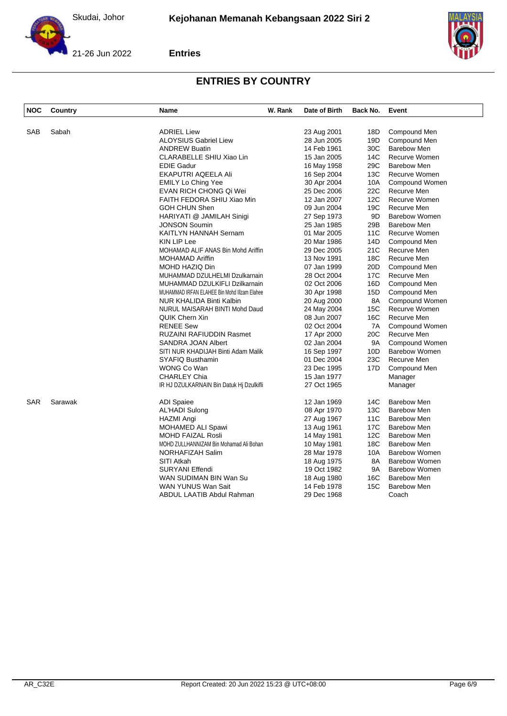



| <b>NOC</b> | Country | <b>Name</b>                                  | W. Rank | Date of Birth | Back No. | Event                |
|------------|---------|----------------------------------------------|---------|---------------|----------|----------------------|
|            |         |                                              |         |               |          |                      |
| SAB        | Sabah   | <b>ADRIEL Liew</b>                           |         | 23 Aug 2001   | 18D      | Compound Men         |
|            |         | <b>ALOYSIUS Gabriel Liew</b>                 |         | 28 Jun 2005   | 19D      | Compound Men         |
|            |         | <b>ANDREW Buatin</b>                         |         | 14 Feb 1961   | 30C      | <b>Barebow Men</b>   |
|            |         | CLARABELLE SHIU Xiao Lin                     |         | 15 Jan 2005   | 14C      | Recurve Women        |
|            |         | <b>EDIE Gadur</b>                            |         | 16 May 1958   | 29C      | <b>Barebow Men</b>   |
|            |         | EKAPUTRI AQEELA Ali                          |         | 16 Sep 2004   | 13C      | <b>Recurve Women</b> |
|            |         | <b>EMILY Lo Ching Yee</b>                    |         | 30 Apr 2004   | 10A      | Compound Women       |
|            |         | EVAN RICH CHONG Qi Wei                       |         | 25 Dec 2006   | 22C      | Recurve Men          |
|            |         | FAITH FEDORA SHIU Xiao Min                   |         | 12 Jan 2007   | 12C      | Recurve Women        |
|            |         | <b>GOH CHUN Shen</b>                         |         | 09 Jun 2004   | 19C      | Recurve Men          |
|            |         | HARIYATI @ JAMILAH Sinigi                    |         | 27 Sep 1973   | 9D       | <b>Barebow Women</b> |
|            |         | <b>JONSON Soumin</b>                         |         | 25 Jan 1985   | 29B      | <b>Barebow Men</b>   |
|            |         | KAITLYN HANNAH Sernam                        |         | 01 Mar 2005   | 11C      | Recurve Women        |
|            |         | <b>KIN LIP Lee</b>                           |         | 20 Mar 1986   | 14D      | Compound Men         |
|            |         | MOHAMAD ALIF ANAS Bin Mohd Ariffin           |         | 29 Dec 2005   | 21C      | Recurve Men          |
|            |         | <b>MOHAMAD Ariffin</b>                       |         | 13 Nov 1991   | 18C      | Recurve Men          |
|            |         | MOHD HAZIQ Din                               |         | 07 Jan 1999   | 20D      | Compound Men         |
|            |         | MUHAMMAD DZULHELMI Dzulkarnain               |         | 28 Oct 2004   | 17C      | Recurve Men          |
|            |         | MUHAMMAD DZULKIFLI Dzilkarnain               |         | 02 Oct 2006   | 16D      | Compound Men         |
|            |         | MUHAMMAD IRFAN ELAHEE Bin Mohd IIIzam Elahee |         | 30 Apr 1998   | 15D      | Compound Men         |
|            |         | NUR KHALIDA Binti Kalbin                     |         | 20 Aug 2000   | 8A       | Compound Women       |
|            |         | NURUL MAISARAH BINTI Mohd Daud               |         | 24 May 2004   | 15C      | Recurve Women        |
|            |         | QUIK Chern Xin                               |         | 08 Jun 2007   | 16C      | Recurve Men          |
|            |         | <b>RENEE Sew</b>                             |         | 02 Oct 2004   | 7A       | Compound Women       |
|            |         | <b>RUZAINI RAFIUDDIN Rasmet</b>              |         | 17 Apr 2000   | 20C      | Recurve Men          |
|            |         | SANDRA JOAN Albert                           |         | 02 Jan 2004   | 9A       | Compound Women       |
|            |         | SITI NUR KHADIJAH Binti Adam Malik           |         | 16 Sep 1997   | 10D      | <b>Barebow Women</b> |
|            |         | SYAFIQ Busthamin                             |         | 01 Dec 2004   | 23C      | Recurve Men          |
|            |         | WONG Co Wan                                  |         | 23 Dec 1995   | 17D      | Compound Men         |
|            |         | <b>CHARLEY Chia</b>                          |         | 15 Jan 1977   |          | Manager              |
|            |         | IR HJ DZULKARNAIN Bin Datuk Hj Dzulkifli     |         | 27 Oct 1965   |          | Manager              |
| <b>SAR</b> | Sarawak | <b>ADI</b> Spaiee                            |         | 12 Jan 1969   | 14C      | <b>Barebow Men</b>   |
|            |         | <b>AL'HADI Sulong</b>                        |         | 08 Apr 1970   | 13C      | <b>Barebow Men</b>   |
|            |         | HAZMI Angi                                   |         | 27 Aug 1967   | 11C      | <b>Barebow Men</b>   |
|            |         | <b>MOHAMED ALI Spawi</b>                     |         | 13 Aug 1961   | 17C      | <b>Barebow Men</b>   |
|            |         | <b>MOHD FAIZAL Rosli</b>                     |         | 14 May 1981   | 12C      | <b>Barebow Men</b>   |
|            |         | MOHD ZULLHANNIZAM Bin Mohamad Ali Bohan      |         | 10 May 1981   | 18C      | <b>Barebow Men</b>   |
|            |         | NORHAFIZAH Salim                             |         | 28 Mar 1978   | 10A      | <b>Barebow Women</b> |
|            |         | SITI Atkah                                   |         | 18 Aug 1975   | 8A       | <b>Barebow Women</b> |
|            |         | <b>SURYANI Effendi</b>                       |         | 19 Oct 1982   | 9A       | <b>Barebow Women</b> |
|            |         | WAN SUDIMAN BIN Wan Su                       |         | 18 Aug 1980   | 16C      | <b>Barebow Men</b>   |
|            |         | WAN YUNUS Wan Sait                           |         | 14 Feb 1978   | 15C      | <b>Barebow Men</b>   |
|            |         | ABDUL LAATIB Abdul Rahman                    |         | 29 Dec 1968   |          | Coach                |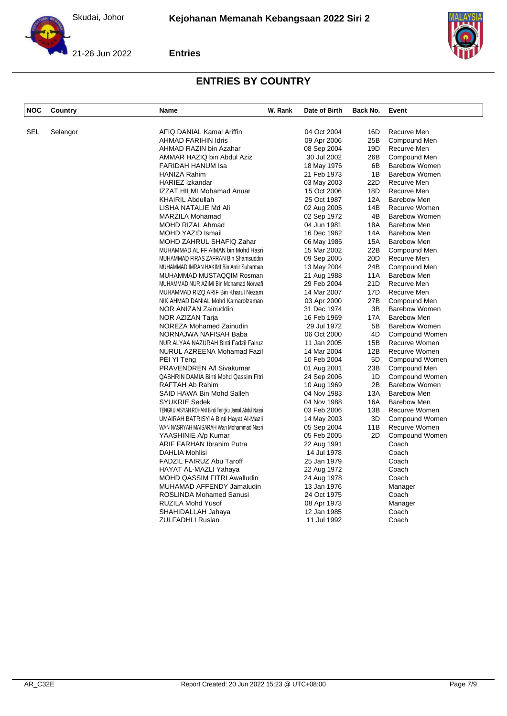



| <b>NOC</b> | Country  | Name                                                | W. Rank | Date of Birth | Back No.        | Event                 |
|------------|----------|-----------------------------------------------------|---------|---------------|-----------------|-----------------------|
|            |          |                                                     |         |               |                 |                       |
| SEL        | Selangor | AFIQ DANIAL Kamal Ariffin                           |         | 04 Oct 2004   | 16D             | Recurve Men           |
|            |          | <b>AHMAD FARIHIN Idris</b>                          |         | 09 Apr 2006   | 25B             | Compound Men          |
|            |          | AHMAD RAZIN bin Azahar                              |         | 08 Sep 2004   | 19D             | Recurve Men           |
|            |          | AMMAR HAZIQ bin Abdul Aziz                          |         | 30 Jul 2002   | 26B             | Compound Men          |
|            |          | FARIDAH HANUM Isa                                   |         | 18 May 1976   | 6B              | <b>Barebow Women</b>  |
|            |          | <b>HANIZA Rahim</b>                                 |         | 21 Feb 1973   | 1B              | <b>Barebow Women</b>  |
|            |          | HARIEZ Izkandar                                     |         | 03 May 2003   | 22D             | Recurve Men           |
|            |          | <b>IZZAT HILMI Mohamad Anuar</b>                    |         | 15 Oct 2006   | 18D             | Recurve Men           |
|            |          | <b>KHAIRIL Abdullah</b>                             |         | 25 Oct 1987   | 12A             | Barebow Men           |
|            |          | LISHA NATALIE Md Ali                                |         | 02 Aug 2005   | 14B             | Recurve Women         |
|            |          | MARZILA Mohamad                                     |         | 02 Sep 1972   | 4B              | <b>Barebow Women</b>  |
|            |          | MOHD RIZAL Ahmad                                    |         | 04 Jun 1981   | 18A             | <b>Barebow Men</b>    |
|            |          | <b>MOHD YAZID Ismail</b>                            |         | 16 Dec 1962   | 14A             | <b>Barebow Men</b>    |
|            |          | MOHD ZAHRUL SHAFIQ Zahar                            |         | 06 May 1986   | <b>15A</b>      | <b>Barebow Men</b>    |
|            |          | MUHAMMAD ALIFF AIMAN bin Mohd Hasri                 |         | 15 Mar 2002   | 22B             | Compound Men          |
|            |          | MUHAMMAD FIRAS ZAFRAN Bin Shamsuddin                |         | 09 Sep 2005   | 20 <sub>D</sub> | Recurve Men           |
|            |          | MUHAMMAD IMRAN HAKIMI Bin Amir Suharman             |         | 13 May 2004   | 24B             | Compound Men          |
|            |          | MUHAMMAD MUSTAQQIM Rosman                           |         | 21 Aug 1988   | 11A             | <b>Barebow Men</b>    |
|            |          | MUHAMMAD NUR AZIMI Bin Mohamad Norwafi              |         | 29 Feb 2004   | 21D             | Recurve Men           |
|            |          | MUHAMMAD RIZQ ARIF Bin Kharul Nezam                 |         | 14 Mar 2007   | 17D             | Recurve Men           |
|            |          | NIK AHMAD DANIAL Mohd Kamarolzaman                  |         | 03 Apr 2000   | 27B             | Compound Men          |
|            |          | NOR ANIZAN Zainuddin                                |         | 31 Dec 1974   | 3B              | <b>Barebow Women</b>  |
|            |          | NOR AZIZAN Tarja                                    |         | 16 Feb 1969   | 17A             | <b>Barebow Men</b>    |
|            |          | NOREZA Mohamed Zainudin                             |         | 29 Jul 1972   | 5B              | <b>Barebow Women</b>  |
|            |          | NORNAJWA NAFISAH Baba                               |         | 06 Oct 2000   | 4D              | Compound Women        |
|            |          | NUR ALYAA NAZURAH Binti Fadzil Fairuz               |         | 11 Jan 2005   | 15B             | Recurve Women         |
|            |          | NURUL AZREENA Mohamad Fazil                         |         | 14 Mar 2004   | 12B             | Recurve Women         |
|            |          | PEI YI Teng                                         |         | 10 Feb 2004   | 5D              | Compound Women        |
|            |          | PRAVENDREN A/I Sivakumar                            |         | 01 Aug 2001   | 23B             | Compound Men          |
|            |          | QASHRIN DAMIA Binti Mohd Qassim Fitri               |         | 24 Sep 2006   | 1D              | Compound Women        |
|            |          | RAFTAH Ab Rahim                                     |         | 10 Aug 1969   | 2B              | <b>Barebow Women</b>  |
|            |          | SAID HAWA Bin Mohd Salleh                           |         | 04 Nov 1983   | 13A             | <b>Barebow Men</b>    |
|            |          | <b>SYUKRIE Sedek</b>                                |         | 04 Nov 1988   | 16A             | Barebow Men           |
|            |          | TENGKU AISYAH ROHANI Binti Tengku Jamal Abdul Nassi |         | 03 Feb 2006   | 13B             | Recurve Women         |
|            |          | UMAIRAH BATRISYIA Binti Hayat Al-Mazli              |         | 14 May 2003   | 3D              | Compound Women        |
|            |          | WAN NASRYAH MAISARAH Wan Mohammad Nasri             |         | 05 Sep 2004   | 11B             | Recurve Women         |
|            |          | YAASHINIE A/p Kumar                                 |         | 05 Feb 2005   | 2D              | <b>Compound Women</b> |
|            |          | <b>ARIF FARHAN Ibrahim Putra</b>                    |         | 22 Aug 1991   |                 | Coach                 |
|            |          | DAHLIA Mohlisi                                      |         | 14 Jul 1978   |                 | Coach                 |
|            |          | FADZIL FAIRUZ Abu Taroff                            |         | 25 Jan 1979   |                 | Coach                 |
|            |          | HAYAT AL-MAZLI Yahaya                               |         | 22 Aug 1972   |                 | Coach                 |
|            |          | MOHD QASSIM FITRI Awalludin                         |         | 24 Aug 1978   |                 | Coach                 |
|            |          | MUHAMAD AFFENDY Jamaludin                           |         | 13 Jan 1976   |                 | Manager               |
|            |          | <b>ROSLINDA Mohamed Sanusi</b>                      |         | 24 Oct 1975   |                 | Coach                 |
|            |          | RUZILA Mohd Yusof                                   |         | 08 Apr 1973   |                 | Manager               |
|            |          | SHAHIDALLAH Jahaya                                  |         | 12 Jan 1985   |                 | Coach                 |
|            |          | <b>ZULFADHLI Ruslan</b>                             |         | 11 Jul 1992   |                 | Coach                 |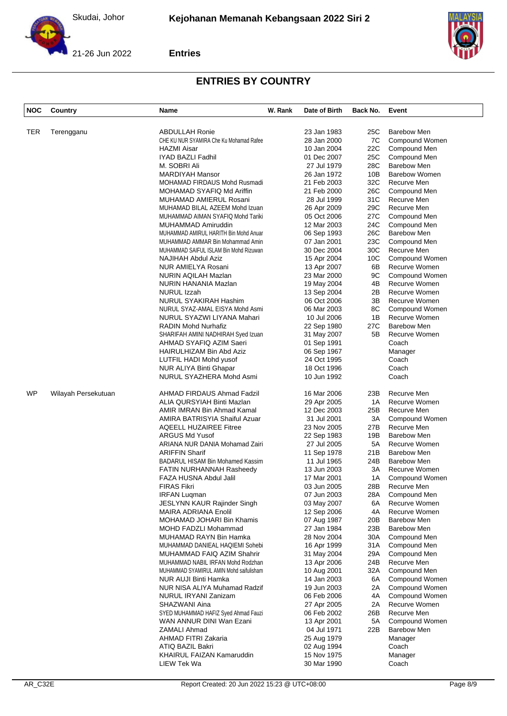



| <b>ABDULLAH Ronie</b><br><b>Barebow Men</b><br>TER<br>23 Jan 1983<br>25C<br>Terengganu<br>CHE KU NUR SYAMIRA Che Ku Mohamad Rafee<br>28 Jan 2000<br>7C<br>Compound Women<br><b>HAZMI Aisar</b><br>22C<br>10 Jan 2004<br>Compound Men<br>IYAD BAZLI Fadhil<br>01 Dec 2007<br>25C<br>Compound Men<br>M. SOBRI Ali<br>28C<br><b>Barebow Men</b><br>27 Jul 1979<br><b>Barebow Women</b><br><b>MARDIYAH Mansor</b><br>26 Jan 1972<br>10B<br>32C<br>MOHAMAD FIRDAUS Mohd Rusmadi<br>21 Feb 2003<br>Recurve Men<br>MOHAMAD SYAFIQ Md Ariffin<br>21 Feb 2000<br>26C<br>Compound Men<br>MUHAMAD AMIERUL Rosani<br>28 Jul 1999<br>31C<br>Recurve Men<br>29C<br>MUHAMAD BILAL AZEEM Mohd Izuan<br>Recurve Men<br>26 Apr 2009<br>MUHAMMAD AIMAN SYAFIQ Mohd Tariki<br>05 Oct 2006<br>27C<br>Compound Men<br>24C<br>Compound Men<br><b>MUHAMMAD Amiruddin</b><br>12 Mar 2003<br>26C<br><b>Barebow Men</b><br>MUHAMMAD AMIRUL HARITH Bin Mohd Anuar<br>06 Sep 1993<br>Compound Men<br>MUHAMMAD AMMAR Bin Mohammad Amin<br>07 Jan 2001<br>23C<br>MUHAMMAD SAIFUL ISLAM Bin Mohd Rizuwan<br>30 Dec 2004<br>30C<br>Recurve Men<br>10C<br>Compound Women<br>NAJIHAH Abdul Aziz<br>15 Apr 2004<br>NUR AMIELYA Rosani<br>6B<br>Recurve Women<br>13 Apr 2007<br>9C<br>NURIN AQILAH Mazlan<br>23 Mar 2000<br>Compound Women<br>Recurve Women<br>NURIN HANANIA Mazlan<br>19 May 2004<br>4B<br>Recurve Women<br>NURUL Izzah<br>13 Sep 2004<br>2Β<br>NURUL SYAKIRAH Hashim<br>Recurve Women<br>06 Oct 2006<br>3В<br>8C<br>Compound Women<br>NURUL SYAZ-AMAL EISYA Mohd Asmi<br>06 Mar 2003<br>Recurve Women<br>NURUL SYAZWI LIYANA Mahari<br>1Β<br>10 Jul 2006<br><b>Barebow Men</b><br><b>RADIN Mohd Nurhafiz</b><br>22 Sep 1980<br>27C<br>Recurve Women<br>SHARIFAH AMINI NADHIRAH Syed Izuan<br>31 May 2007<br>5B<br>Coach<br>AHMAD SYAFIQ AZIM Saeri<br>01 Sep 1991<br>HAIRULHIZAM Bin Abd Aziz<br>06 Sep 1967<br>Manager<br>24 Oct 1995<br>Coach<br>LUTFIL HADI Mohd yusof<br>NUR ALIYA Binti Ghapar<br>18 Oct 1996<br>Coach<br>Coach<br>NURUL SYAZHERA Mohd Asmi<br>10 Jun 1992<br>WP<br>Recurve Men<br>Wilayah Persekutuan<br>AHMAD FIRDAUS Ahmad Fadzil<br>16 Mar 2006<br>23B<br>ALIA QURSYIAH Binti Mazlan<br>Recurve Women<br>29 Apr 2005<br>1A<br>AMIR IMRAN Bin Ahmad Kamal<br>12 Dec 2003<br>25B<br>Recurve Men<br>Compound Women<br>AMIRA BATRISYIA Shaiful Azuar<br>31 Jul 2001<br>ЗΑ<br>Recurve Men<br><b>AQEELL HUZAIREE Fitree</b><br>23 Nov 2005<br>27B<br><b>ARGUS Md Yusof</b><br>Barebow Men<br>22 Sep 1983<br>19B<br>Recurve Women<br>ARIANA NUR DANIA Mohamad Zairi<br>27 Jul 2005<br>5А<br><b>ARIFFIN Sharif</b><br><b>Barebow Men</b><br>11 Sep 1978<br>21B<br>BADARUL HISAM Bin Mohamed Kassim<br><b>Barebow Men</b><br>11 Jul 1965<br>24B<br>Recurve Women<br>13 Jun 2003<br>ЗΑ<br><b>FATIN NURHANNAH Rasheedy</b><br>FAZA HUSNA Abdul Jalil<br>17 Mar 2001<br>1A<br>Compound Women<br>FIRAS Fikri<br>03 Jun 2005<br>28B<br>Recurve Men<br>28A<br>Compound Men<br><b>IRFAN Lugman</b><br>07 Jun 2003<br>Recurve Women<br>JESLYNN KAUR Rajinder Singh<br>03 May 2007<br>6A<br>Recurve Women<br>MAIRA ADRIANA Enolil<br>12 Sep 2006<br>4A<br><b>Barebow Men</b><br>MOHAMAD JOHARI Bin Khamis<br>07 Aug 1987<br>20B<br><b>MOHD FADZLI Mohammad</b><br>23B<br><b>Barebow Men</b><br>27 Jan 1984<br>Compound Men<br>MUHAMAD RAYN Bin Hamka<br>28 Nov 2004<br>30A<br>31A<br>Compound Men<br>MUHAMMAD DANIEAL HAQIEMI Sohebi<br>16 Apr 1999<br>Compound Men<br>MUHAMMAD FAIQ AZIM Shahrir<br>31 May 2004<br>29A<br>24B<br>Recurve Men<br>MUHAMMAD NABIL IRFAN Mohd Rodzhan<br>13 Apr 2006<br>Compound Men<br>MUHAMMAD SYAMIRUL AMIN Mohd saifulisham<br>10 Aug 2001<br>32A<br>NUR AUJI Binti Hamka<br>14 Jan 2003<br>6A<br>Compound Women<br>Compound Women<br>NUR NISA ALIYA Muhamad Radzif<br>19 Jun 2003<br>2A<br>Compound Women<br>NURUL IRYANI Zanizam<br>06 Feb 2006<br>4A<br>Recurve Women<br>SHAZWANI Aina<br>27 Apr 2005<br>2A<br>Recurve Men<br>SYED MUHAMMAD HAFIZ Syed Ahmad Fauzi<br>06 Feb 2002<br>26B<br>Compound Women<br>WAN ANNUR DINI Wan Ezani<br>13 Apr 2001<br>5A<br>ZAMALI Ahmad<br><b>Barebow Men</b><br>04 Jul 1971<br>22B<br>AHMAD FITRI Zakaria<br>25 Aug 1979<br>Manager<br>Coach<br>ATIQ BAZIL Bakri<br>02 Aug 1994<br>KHAIRUL FAIZAN Kamaruddin<br>15 Nov 1975<br>Manager | <b>NOC</b> | Country | <b>Name</b> | W. Rank | Date of Birth | Back No. | Event |
|-----------------------------------------------------------------------------------------------------------------------------------------------------------------------------------------------------------------------------------------------------------------------------------------------------------------------------------------------------------------------------------------------------------------------------------------------------------------------------------------------------------------------------------------------------------------------------------------------------------------------------------------------------------------------------------------------------------------------------------------------------------------------------------------------------------------------------------------------------------------------------------------------------------------------------------------------------------------------------------------------------------------------------------------------------------------------------------------------------------------------------------------------------------------------------------------------------------------------------------------------------------------------------------------------------------------------------------------------------------------------------------------------------------------------------------------------------------------------------------------------------------------------------------------------------------------------------------------------------------------------------------------------------------------------------------------------------------------------------------------------------------------------------------------------------------------------------------------------------------------------------------------------------------------------------------------------------------------------------------------------------------------------------------------------------------------------------------------------------------------------------------------------------------------------------------------------------------------------------------------------------------------------------------------------------------------------------------------------------------------------------------------------------------------------------------------------------------------------------------------------------------------------------------------------------------------------------------------------------------------------------------------------------------------------------------------------------------------------------------------------------------------------------------------------------------------------------------------------------------------------------------------------------------------------------------------------------------------------------------------------------------------------------------------------------------------------------------------------------------------------------------------------------------------------------------------------------------------------------------------------------------------------------------------------------------------------------------------------------------------------------------------------------------------------------------------------------------------------------------------------------------------------------------------------------------------------------------------------------------------------------------------------------------------------------------------------------------------------------------------------------------------------------------------------------------------------------------------------------------------------------------------------------------------------------------------------------------------------------------------------------------------------------------------------------------------------------------------------------------------------------------------------------------------------------------------------------------------------------------------------------------------------------------------------------|------------|---------|-------------|---------|---------------|----------|-------|
|                                                                                                                                                                                                                                                                                                                                                                                                                                                                                                                                                                                                                                                                                                                                                                                                                                                                                                                                                                                                                                                                                                                                                                                                                                                                                                                                                                                                                                                                                                                                                                                                                                                                                                                                                                                                                                                                                                                                                                                                                                                                                                                                                                                                                                                                                                                                                                                                                                                                                                                                                                                                                                                                                                                                                                                                                                                                                                                                                                                                                                                                                                                                                                                                                                                                                                                                                                                                                                                                                                                                                                                                                                                                                                                                                                                                                                                                                                                                                                                                                                                                                                                                                                                                                                                                                                     |            |         |             |         |               |          |       |
|                                                                                                                                                                                                                                                                                                                                                                                                                                                                                                                                                                                                                                                                                                                                                                                                                                                                                                                                                                                                                                                                                                                                                                                                                                                                                                                                                                                                                                                                                                                                                                                                                                                                                                                                                                                                                                                                                                                                                                                                                                                                                                                                                                                                                                                                                                                                                                                                                                                                                                                                                                                                                                                                                                                                                                                                                                                                                                                                                                                                                                                                                                                                                                                                                                                                                                                                                                                                                                                                                                                                                                                                                                                                                                                                                                                                                                                                                                                                                                                                                                                                                                                                                                                                                                                                                                     |            |         |             |         |               |          |       |
|                                                                                                                                                                                                                                                                                                                                                                                                                                                                                                                                                                                                                                                                                                                                                                                                                                                                                                                                                                                                                                                                                                                                                                                                                                                                                                                                                                                                                                                                                                                                                                                                                                                                                                                                                                                                                                                                                                                                                                                                                                                                                                                                                                                                                                                                                                                                                                                                                                                                                                                                                                                                                                                                                                                                                                                                                                                                                                                                                                                                                                                                                                                                                                                                                                                                                                                                                                                                                                                                                                                                                                                                                                                                                                                                                                                                                                                                                                                                                                                                                                                                                                                                                                                                                                                                                                     |            |         |             |         |               |          |       |
|                                                                                                                                                                                                                                                                                                                                                                                                                                                                                                                                                                                                                                                                                                                                                                                                                                                                                                                                                                                                                                                                                                                                                                                                                                                                                                                                                                                                                                                                                                                                                                                                                                                                                                                                                                                                                                                                                                                                                                                                                                                                                                                                                                                                                                                                                                                                                                                                                                                                                                                                                                                                                                                                                                                                                                                                                                                                                                                                                                                                                                                                                                                                                                                                                                                                                                                                                                                                                                                                                                                                                                                                                                                                                                                                                                                                                                                                                                                                                                                                                                                                                                                                                                                                                                                                                                     |            |         |             |         |               |          |       |
|                                                                                                                                                                                                                                                                                                                                                                                                                                                                                                                                                                                                                                                                                                                                                                                                                                                                                                                                                                                                                                                                                                                                                                                                                                                                                                                                                                                                                                                                                                                                                                                                                                                                                                                                                                                                                                                                                                                                                                                                                                                                                                                                                                                                                                                                                                                                                                                                                                                                                                                                                                                                                                                                                                                                                                                                                                                                                                                                                                                                                                                                                                                                                                                                                                                                                                                                                                                                                                                                                                                                                                                                                                                                                                                                                                                                                                                                                                                                                                                                                                                                                                                                                                                                                                                                                                     |            |         |             |         |               |          |       |
|                                                                                                                                                                                                                                                                                                                                                                                                                                                                                                                                                                                                                                                                                                                                                                                                                                                                                                                                                                                                                                                                                                                                                                                                                                                                                                                                                                                                                                                                                                                                                                                                                                                                                                                                                                                                                                                                                                                                                                                                                                                                                                                                                                                                                                                                                                                                                                                                                                                                                                                                                                                                                                                                                                                                                                                                                                                                                                                                                                                                                                                                                                                                                                                                                                                                                                                                                                                                                                                                                                                                                                                                                                                                                                                                                                                                                                                                                                                                                                                                                                                                                                                                                                                                                                                                                                     |            |         |             |         |               |          |       |
|                                                                                                                                                                                                                                                                                                                                                                                                                                                                                                                                                                                                                                                                                                                                                                                                                                                                                                                                                                                                                                                                                                                                                                                                                                                                                                                                                                                                                                                                                                                                                                                                                                                                                                                                                                                                                                                                                                                                                                                                                                                                                                                                                                                                                                                                                                                                                                                                                                                                                                                                                                                                                                                                                                                                                                                                                                                                                                                                                                                                                                                                                                                                                                                                                                                                                                                                                                                                                                                                                                                                                                                                                                                                                                                                                                                                                                                                                                                                                                                                                                                                                                                                                                                                                                                                                                     |            |         |             |         |               |          |       |
|                                                                                                                                                                                                                                                                                                                                                                                                                                                                                                                                                                                                                                                                                                                                                                                                                                                                                                                                                                                                                                                                                                                                                                                                                                                                                                                                                                                                                                                                                                                                                                                                                                                                                                                                                                                                                                                                                                                                                                                                                                                                                                                                                                                                                                                                                                                                                                                                                                                                                                                                                                                                                                                                                                                                                                                                                                                                                                                                                                                                                                                                                                                                                                                                                                                                                                                                                                                                                                                                                                                                                                                                                                                                                                                                                                                                                                                                                                                                                                                                                                                                                                                                                                                                                                                                                                     |            |         |             |         |               |          |       |
|                                                                                                                                                                                                                                                                                                                                                                                                                                                                                                                                                                                                                                                                                                                                                                                                                                                                                                                                                                                                                                                                                                                                                                                                                                                                                                                                                                                                                                                                                                                                                                                                                                                                                                                                                                                                                                                                                                                                                                                                                                                                                                                                                                                                                                                                                                                                                                                                                                                                                                                                                                                                                                                                                                                                                                                                                                                                                                                                                                                                                                                                                                                                                                                                                                                                                                                                                                                                                                                                                                                                                                                                                                                                                                                                                                                                                                                                                                                                                                                                                                                                                                                                                                                                                                                                                                     |            |         |             |         |               |          |       |
|                                                                                                                                                                                                                                                                                                                                                                                                                                                                                                                                                                                                                                                                                                                                                                                                                                                                                                                                                                                                                                                                                                                                                                                                                                                                                                                                                                                                                                                                                                                                                                                                                                                                                                                                                                                                                                                                                                                                                                                                                                                                                                                                                                                                                                                                                                                                                                                                                                                                                                                                                                                                                                                                                                                                                                                                                                                                                                                                                                                                                                                                                                                                                                                                                                                                                                                                                                                                                                                                                                                                                                                                                                                                                                                                                                                                                                                                                                                                                                                                                                                                                                                                                                                                                                                                                                     |            |         |             |         |               |          |       |
|                                                                                                                                                                                                                                                                                                                                                                                                                                                                                                                                                                                                                                                                                                                                                                                                                                                                                                                                                                                                                                                                                                                                                                                                                                                                                                                                                                                                                                                                                                                                                                                                                                                                                                                                                                                                                                                                                                                                                                                                                                                                                                                                                                                                                                                                                                                                                                                                                                                                                                                                                                                                                                                                                                                                                                                                                                                                                                                                                                                                                                                                                                                                                                                                                                                                                                                                                                                                                                                                                                                                                                                                                                                                                                                                                                                                                                                                                                                                                                                                                                                                                                                                                                                                                                                                                                     |            |         |             |         |               |          |       |
|                                                                                                                                                                                                                                                                                                                                                                                                                                                                                                                                                                                                                                                                                                                                                                                                                                                                                                                                                                                                                                                                                                                                                                                                                                                                                                                                                                                                                                                                                                                                                                                                                                                                                                                                                                                                                                                                                                                                                                                                                                                                                                                                                                                                                                                                                                                                                                                                                                                                                                                                                                                                                                                                                                                                                                                                                                                                                                                                                                                                                                                                                                                                                                                                                                                                                                                                                                                                                                                                                                                                                                                                                                                                                                                                                                                                                                                                                                                                                                                                                                                                                                                                                                                                                                                                                                     |            |         |             |         |               |          |       |
|                                                                                                                                                                                                                                                                                                                                                                                                                                                                                                                                                                                                                                                                                                                                                                                                                                                                                                                                                                                                                                                                                                                                                                                                                                                                                                                                                                                                                                                                                                                                                                                                                                                                                                                                                                                                                                                                                                                                                                                                                                                                                                                                                                                                                                                                                                                                                                                                                                                                                                                                                                                                                                                                                                                                                                                                                                                                                                                                                                                                                                                                                                                                                                                                                                                                                                                                                                                                                                                                                                                                                                                                                                                                                                                                                                                                                                                                                                                                                                                                                                                                                                                                                                                                                                                                                                     |            |         |             |         |               |          |       |
|                                                                                                                                                                                                                                                                                                                                                                                                                                                                                                                                                                                                                                                                                                                                                                                                                                                                                                                                                                                                                                                                                                                                                                                                                                                                                                                                                                                                                                                                                                                                                                                                                                                                                                                                                                                                                                                                                                                                                                                                                                                                                                                                                                                                                                                                                                                                                                                                                                                                                                                                                                                                                                                                                                                                                                                                                                                                                                                                                                                                                                                                                                                                                                                                                                                                                                                                                                                                                                                                                                                                                                                                                                                                                                                                                                                                                                                                                                                                                                                                                                                                                                                                                                                                                                                                                                     |            |         |             |         |               |          |       |
|                                                                                                                                                                                                                                                                                                                                                                                                                                                                                                                                                                                                                                                                                                                                                                                                                                                                                                                                                                                                                                                                                                                                                                                                                                                                                                                                                                                                                                                                                                                                                                                                                                                                                                                                                                                                                                                                                                                                                                                                                                                                                                                                                                                                                                                                                                                                                                                                                                                                                                                                                                                                                                                                                                                                                                                                                                                                                                                                                                                                                                                                                                                                                                                                                                                                                                                                                                                                                                                                                                                                                                                                                                                                                                                                                                                                                                                                                                                                                                                                                                                                                                                                                                                                                                                                                                     |            |         |             |         |               |          |       |
|                                                                                                                                                                                                                                                                                                                                                                                                                                                                                                                                                                                                                                                                                                                                                                                                                                                                                                                                                                                                                                                                                                                                                                                                                                                                                                                                                                                                                                                                                                                                                                                                                                                                                                                                                                                                                                                                                                                                                                                                                                                                                                                                                                                                                                                                                                                                                                                                                                                                                                                                                                                                                                                                                                                                                                                                                                                                                                                                                                                                                                                                                                                                                                                                                                                                                                                                                                                                                                                                                                                                                                                                                                                                                                                                                                                                                                                                                                                                                                                                                                                                                                                                                                                                                                                                                                     |            |         |             |         |               |          |       |
|                                                                                                                                                                                                                                                                                                                                                                                                                                                                                                                                                                                                                                                                                                                                                                                                                                                                                                                                                                                                                                                                                                                                                                                                                                                                                                                                                                                                                                                                                                                                                                                                                                                                                                                                                                                                                                                                                                                                                                                                                                                                                                                                                                                                                                                                                                                                                                                                                                                                                                                                                                                                                                                                                                                                                                                                                                                                                                                                                                                                                                                                                                                                                                                                                                                                                                                                                                                                                                                                                                                                                                                                                                                                                                                                                                                                                                                                                                                                                                                                                                                                                                                                                                                                                                                                                                     |            |         |             |         |               |          |       |
|                                                                                                                                                                                                                                                                                                                                                                                                                                                                                                                                                                                                                                                                                                                                                                                                                                                                                                                                                                                                                                                                                                                                                                                                                                                                                                                                                                                                                                                                                                                                                                                                                                                                                                                                                                                                                                                                                                                                                                                                                                                                                                                                                                                                                                                                                                                                                                                                                                                                                                                                                                                                                                                                                                                                                                                                                                                                                                                                                                                                                                                                                                                                                                                                                                                                                                                                                                                                                                                                                                                                                                                                                                                                                                                                                                                                                                                                                                                                                                                                                                                                                                                                                                                                                                                                                                     |            |         |             |         |               |          |       |
|                                                                                                                                                                                                                                                                                                                                                                                                                                                                                                                                                                                                                                                                                                                                                                                                                                                                                                                                                                                                                                                                                                                                                                                                                                                                                                                                                                                                                                                                                                                                                                                                                                                                                                                                                                                                                                                                                                                                                                                                                                                                                                                                                                                                                                                                                                                                                                                                                                                                                                                                                                                                                                                                                                                                                                                                                                                                                                                                                                                                                                                                                                                                                                                                                                                                                                                                                                                                                                                                                                                                                                                                                                                                                                                                                                                                                                                                                                                                                                                                                                                                                                                                                                                                                                                                                                     |            |         |             |         |               |          |       |
|                                                                                                                                                                                                                                                                                                                                                                                                                                                                                                                                                                                                                                                                                                                                                                                                                                                                                                                                                                                                                                                                                                                                                                                                                                                                                                                                                                                                                                                                                                                                                                                                                                                                                                                                                                                                                                                                                                                                                                                                                                                                                                                                                                                                                                                                                                                                                                                                                                                                                                                                                                                                                                                                                                                                                                                                                                                                                                                                                                                                                                                                                                                                                                                                                                                                                                                                                                                                                                                                                                                                                                                                                                                                                                                                                                                                                                                                                                                                                                                                                                                                                                                                                                                                                                                                                                     |            |         |             |         |               |          |       |
|                                                                                                                                                                                                                                                                                                                                                                                                                                                                                                                                                                                                                                                                                                                                                                                                                                                                                                                                                                                                                                                                                                                                                                                                                                                                                                                                                                                                                                                                                                                                                                                                                                                                                                                                                                                                                                                                                                                                                                                                                                                                                                                                                                                                                                                                                                                                                                                                                                                                                                                                                                                                                                                                                                                                                                                                                                                                                                                                                                                                                                                                                                                                                                                                                                                                                                                                                                                                                                                                                                                                                                                                                                                                                                                                                                                                                                                                                                                                                                                                                                                                                                                                                                                                                                                                                                     |            |         |             |         |               |          |       |
|                                                                                                                                                                                                                                                                                                                                                                                                                                                                                                                                                                                                                                                                                                                                                                                                                                                                                                                                                                                                                                                                                                                                                                                                                                                                                                                                                                                                                                                                                                                                                                                                                                                                                                                                                                                                                                                                                                                                                                                                                                                                                                                                                                                                                                                                                                                                                                                                                                                                                                                                                                                                                                                                                                                                                                                                                                                                                                                                                                                                                                                                                                                                                                                                                                                                                                                                                                                                                                                                                                                                                                                                                                                                                                                                                                                                                                                                                                                                                                                                                                                                                                                                                                                                                                                                                                     |            |         |             |         |               |          |       |
|                                                                                                                                                                                                                                                                                                                                                                                                                                                                                                                                                                                                                                                                                                                                                                                                                                                                                                                                                                                                                                                                                                                                                                                                                                                                                                                                                                                                                                                                                                                                                                                                                                                                                                                                                                                                                                                                                                                                                                                                                                                                                                                                                                                                                                                                                                                                                                                                                                                                                                                                                                                                                                                                                                                                                                                                                                                                                                                                                                                                                                                                                                                                                                                                                                                                                                                                                                                                                                                                                                                                                                                                                                                                                                                                                                                                                                                                                                                                                                                                                                                                                                                                                                                                                                                                                                     |            |         |             |         |               |          |       |
|                                                                                                                                                                                                                                                                                                                                                                                                                                                                                                                                                                                                                                                                                                                                                                                                                                                                                                                                                                                                                                                                                                                                                                                                                                                                                                                                                                                                                                                                                                                                                                                                                                                                                                                                                                                                                                                                                                                                                                                                                                                                                                                                                                                                                                                                                                                                                                                                                                                                                                                                                                                                                                                                                                                                                                                                                                                                                                                                                                                                                                                                                                                                                                                                                                                                                                                                                                                                                                                                                                                                                                                                                                                                                                                                                                                                                                                                                                                                                                                                                                                                                                                                                                                                                                                                                                     |            |         |             |         |               |          |       |
|                                                                                                                                                                                                                                                                                                                                                                                                                                                                                                                                                                                                                                                                                                                                                                                                                                                                                                                                                                                                                                                                                                                                                                                                                                                                                                                                                                                                                                                                                                                                                                                                                                                                                                                                                                                                                                                                                                                                                                                                                                                                                                                                                                                                                                                                                                                                                                                                                                                                                                                                                                                                                                                                                                                                                                                                                                                                                                                                                                                                                                                                                                                                                                                                                                                                                                                                                                                                                                                                                                                                                                                                                                                                                                                                                                                                                                                                                                                                                                                                                                                                                                                                                                                                                                                                                                     |            |         |             |         |               |          |       |
|                                                                                                                                                                                                                                                                                                                                                                                                                                                                                                                                                                                                                                                                                                                                                                                                                                                                                                                                                                                                                                                                                                                                                                                                                                                                                                                                                                                                                                                                                                                                                                                                                                                                                                                                                                                                                                                                                                                                                                                                                                                                                                                                                                                                                                                                                                                                                                                                                                                                                                                                                                                                                                                                                                                                                                                                                                                                                                                                                                                                                                                                                                                                                                                                                                                                                                                                                                                                                                                                                                                                                                                                                                                                                                                                                                                                                                                                                                                                                                                                                                                                                                                                                                                                                                                                                                     |            |         |             |         |               |          |       |
|                                                                                                                                                                                                                                                                                                                                                                                                                                                                                                                                                                                                                                                                                                                                                                                                                                                                                                                                                                                                                                                                                                                                                                                                                                                                                                                                                                                                                                                                                                                                                                                                                                                                                                                                                                                                                                                                                                                                                                                                                                                                                                                                                                                                                                                                                                                                                                                                                                                                                                                                                                                                                                                                                                                                                                                                                                                                                                                                                                                                                                                                                                                                                                                                                                                                                                                                                                                                                                                                                                                                                                                                                                                                                                                                                                                                                                                                                                                                                                                                                                                                                                                                                                                                                                                                                                     |            |         |             |         |               |          |       |
|                                                                                                                                                                                                                                                                                                                                                                                                                                                                                                                                                                                                                                                                                                                                                                                                                                                                                                                                                                                                                                                                                                                                                                                                                                                                                                                                                                                                                                                                                                                                                                                                                                                                                                                                                                                                                                                                                                                                                                                                                                                                                                                                                                                                                                                                                                                                                                                                                                                                                                                                                                                                                                                                                                                                                                                                                                                                                                                                                                                                                                                                                                                                                                                                                                                                                                                                                                                                                                                                                                                                                                                                                                                                                                                                                                                                                                                                                                                                                                                                                                                                                                                                                                                                                                                                                                     |            |         |             |         |               |          |       |
|                                                                                                                                                                                                                                                                                                                                                                                                                                                                                                                                                                                                                                                                                                                                                                                                                                                                                                                                                                                                                                                                                                                                                                                                                                                                                                                                                                                                                                                                                                                                                                                                                                                                                                                                                                                                                                                                                                                                                                                                                                                                                                                                                                                                                                                                                                                                                                                                                                                                                                                                                                                                                                                                                                                                                                                                                                                                                                                                                                                                                                                                                                                                                                                                                                                                                                                                                                                                                                                                                                                                                                                                                                                                                                                                                                                                                                                                                                                                                                                                                                                                                                                                                                                                                                                                                                     |            |         |             |         |               |          |       |
|                                                                                                                                                                                                                                                                                                                                                                                                                                                                                                                                                                                                                                                                                                                                                                                                                                                                                                                                                                                                                                                                                                                                                                                                                                                                                                                                                                                                                                                                                                                                                                                                                                                                                                                                                                                                                                                                                                                                                                                                                                                                                                                                                                                                                                                                                                                                                                                                                                                                                                                                                                                                                                                                                                                                                                                                                                                                                                                                                                                                                                                                                                                                                                                                                                                                                                                                                                                                                                                                                                                                                                                                                                                                                                                                                                                                                                                                                                                                                                                                                                                                                                                                                                                                                                                                                                     |            |         |             |         |               |          |       |
|                                                                                                                                                                                                                                                                                                                                                                                                                                                                                                                                                                                                                                                                                                                                                                                                                                                                                                                                                                                                                                                                                                                                                                                                                                                                                                                                                                                                                                                                                                                                                                                                                                                                                                                                                                                                                                                                                                                                                                                                                                                                                                                                                                                                                                                                                                                                                                                                                                                                                                                                                                                                                                                                                                                                                                                                                                                                                                                                                                                                                                                                                                                                                                                                                                                                                                                                                                                                                                                                                                                                                                                                                                                                                                                                                                                                                                                                                                                                                                                                                                                                                                                                                                                                                                                                                                     |            |         |             |         |               |          |       |
|                                                                                                                                                                                                                                                                                                                                                                                                                                                                                                                                                                                                                                                                                                                                                                                                                                                                                                                                                                                                                                                                                                                                                                                                                                                                                                                                                                                                                                                                                                                                                                                                                                                                                                                                                                                                                                                                                                                                                                                                                                                                                                                                                                                                                                                                                                                                                                                                                                                                                                                                                                                                                                                                                                                                                                                                                                                                                                                                                                                                                                                                                                                                                                                                                                                                                                                                                                                                                                                                                                                                                                                                                                                                                                                                                                                                                                                                                                                                                                                                                                                                                                                                                                                                                                                                                                     |            |         |             |         |               |          |       |
|                                                                                                                                                                                                                                                                                                                                                                                                                                                                                                                                                                                                                                                                                                                                                                                                                                                                                                                                                                                                                                                                                                                                                                                                                                                                                                                                                                                                                                                                                                                                                                                                                                                                                                                                                                                                                                                                                                                                                                                                                                                                                                                                                                                                                                                                                                                                                                                                                                                                                                                                                                                                                                                                                                                                                                                                                                                                                                                                                                                                                                                                                                                                                                                                                                                                                                                                                                                                                                                                                                                                                                                                                                                                                                                                                                                                                                                                                                                                                                                                                                                                                                                                                                                                                                                                                                     |            |         |             |         |               |          |       |
|                                                                                                                                                                                                                                                                                                                                                                                                                                                                                                                                                                                                                                                                                                                                                                                                                                                                                                                                                                                                                                                                                                                                                                                                                                                                                                                                                                                                                                                                                                                                                                                                                                                                                                                                                                                                                                                                                                                                                                                                                                                                                                                                                                                                                                                                                                                                                                                                                                                                                                                                                                                                                                                                                                                                                                                                                                                                                                                                                                                                                                                                                                                                                                                                                                                                                                                                                                                                                                                                                                                                                                                                                                                                                                                                                                                                                                                                                                                                                                                                                                                                                                                                                                                                                                                                                                     |            |         |             |         |               |          |       |
|                                                                                                                                                                                                                                                                                                                                                                                                                                                                                                                                                                                                                                                                                                                                                                                                                                                                                                                                                                                                                                                                                                                                                                                                                                                                                                                                                                                                                                                                                                                                                                                                                                                                                                                                                                                                                                                                                                                                                                                                                                                                                                                                                                                                                                                                                                                                                                                                                                                                                                                                                                                                                                                                                                                                                                                                                                                                                                                                                                                                                                                                                                                                                                                                                                                                                                                                                                                                                                                                                                                                                                                                                                                                                                                                                                                                                                                                                                                                                                                                                                                                                                                                                                                                                                                                                                     |            |         |             |         |               |          |       |
|                                                                                                                                                                                                                                                                                                                                                                                                                                                                                                                                                                                                                                                                                                                                                                                                                                                                                                                                                                                                                                                                                                                                                                                                                                                                                                                                                                                                                                                                                                                                                                                                                                                                                                                                                                                                                                                                                                                                                                                                                                                                                                                                                                                                                                                                                                                                                                                                                                                                                                                                                                                                                                                                                                                                                                                                                                                                                                                                                                                                                                                                                                                                                                                                                                                                                                                                                                                                                                                                                                                                                                                                                                                                                                                                                                                                                                                                                                                                                                                                                                                                                                                                                                                                                                                                                                     |            |         |             |         |               |          |       |
|                                                                                                                                                                                                                                                                                                                                                                                                                                                                                                                                                                                                                                                                                                                                                                                                                                                                                                                                                                                                                                                                                                                                                                                                                                                                                                                                                                                                                                                                                                                                                                                                                                                                                                                                                                                                                                                                                                                                                                                                                                                                                                                                                                                                                                                                                                                                                                                                                                                                                                                                                                                                                                                                                                                                                                                                                                                                                                                                                                                                                                                                                                                                                                                                                                                                                                                                                                                                                                                                                                                                                                                                                                                                                                                                                                                                                                                                                                                                                                                                                                                                                                                                                                                                                                                                                                     |            |         |             |         |               |          |       |
|                                                                                                                                                                                                                                                                                                                                                                                                                                                                                                                                                                                                                                                                                                                                                                                                                                                                                                                                                                                                                                                                                                                                                                                                                                                                                                                                                                                                                                                                                                                                                                                                                                                                                                                                                                                                                                                                                                                                                                                                                                                                                                                                                                                                                                                                                                                                                                                                                                                                                                                                                                                                                                                                                                                                                                                                                                                                                                                                                                                                                                                                                                                                                                                                                                                                                                                                                                                                                                                                                                                                                                                                                                                                                                                                                                                                                                                                                                                                                                                                                                                                                                                                                                                                                                                                                                     |            |         |             |         |               |          |       |
|                                                                                                                                                                                                                                                                                                                                                                                                                                                                                                                                                                                                                                                                                                                                                                                                                                                                                                                                                                                                                                                                                                                                                                                                                                                                                                                                                                                                                                                                                                                                                                                                                                                                                                                                                                                                                                                                                                                                                                                                                                                                                                                                                                                                                                                                                                                                                                                                                                                                                                                                                                                                                                                                                                                                                                                                                                                                                                                                                                                                                                                                                                                                                                                                                                                                                                                                                                                                                                                                                                                                                                                                                                                                                                                                                                                                                                                                                                                                                                                                                                                                                                                                                                                                                                                                                                     |            |         |             |         |               |          |       |
|                                                                                                                                                                                                                                                                                                                                                                                                                                                                                                                                                                                                                                                                                                                                                                                                                                                                                                                                                                                                                                                                                                                                                                                                                                                                                                                                                                                                                                                                                                                                                                                                                                                                                                                                                                                                                                                                                                                                                                                                                                                                                                                                                                                                                                                                                                                                                                                                                                                                                                                                                                                                                                                                                                                                                                                                                                                                                                                                                                                                                                                                                                                                                                                                                                                                                                                                                                                                                                                                                                                                                                                                                                                                                                                                                                                                                                                                                                                                                                                                                                                                                                                                                                                                                                                                                                     |            |         |             |         |               |          |       |
|                                                                                                                                                                                                                                                                                                                                                                                                                                                                                                                                                                                                                                                                                                                                                                                                                                                                                                                                                                                                                                                                                                                                                                                                                                                                                                                                                                                                                                                                                                                                                                                                                                                                                                                                                                                                                                                                                                                                                                                                                                                                                                                                                                                                                                                                                                                                                                                                                                                                                                                                                                                                                                                                                                                                                                                                                                                                                                                                                                                                                                                                                                                                                                                                                                                                                                                                                                                                                                                                                                                                                                                                                                                                                                                                                                                                                                                                                                                                                                                                                                                                                                                                                                                                                                                                                                     |            |         |             |         |               |          |       |
|                                                                                                                                                                                                                                                                                                                                                                                                                                                                                                                                                                                                                                                                                                                                                                                                                                                                                                                                                                                                                                                                                                                                                                                                                                                                                                                                                                                                                                                                                                                                                                                                                                                                                                                                                                                                                                                                                                                                                                                                                                                                                                                                                                                                                                                                                                                                                                                                                                                                                                                                                                                                                                                                                                                                                                                                                                                                                                                                                                                                                                                                                                                                                                                                                                                                                                                                                                                                                                                                                                                                                                                                                                                                                                                                                                                                                                                                                                                                                                                                                                                                                                                                                                                                                                                                                                     |            |         |             |         |               |          |       |
|                                                                                                                                                                                                                                                                                                                                                                                                                                                                                                                                                                                                                                                                                                                                                                                                                                                                                                                                                                                                                                                                                                                                                                                                                                                                                                                                                                                                                                                                                                                                                                                                                                                                                                                                                                                                                                                                                                                                                                                                                                                                                                                                                                                                                                                                                                                                                                                                                                                                                                                                                                                                                                                                                                                                                                                                                                                                                                                                                                                                                                                                                                                                                                                                                                                                                                                                                                                                                                                                                                                                                                                                                                                                                                                                                                                                                                                                                                                                                                                                                                                                                                                                                                                                                                                                                                     |            |         |             |         |               |          |       |
|                                                                                                                                                                                                                                                                                                                                                                                                                                                                                                                                                                                                                                                                                                                                                                                                                                                                                                                                                                                                                                                                                                                                                                                                                                                                                                                                                                                                                                                                                                                                                                                                                                                                                                                                                                                                                                                                                                                                                                                                                                                                                                                                                                                                                                                                                                                                                                                                                                                                                                                                                                                                                                                                                                                                                                                                                                                                                                                                                                                                                                                                                                                                                                                                                                                                                                                                                                                                                                                                                                                                                                                                                                                                                                                                                                                                                                                                                                                                                                                                                                                                                                                                                                                                                                                                                                     |            |         |             |         |               |          |       |
|                                                                                                                                                                                                                                                                                                                                                                                                                                                                                                                                                                                                                                                                                                                                                                                                                                                                                                                                                                                                                                                                                                                                                                                                                                                                                                                                                                                                                                                                                                                                                                                                                                                                                                                                                                                                                                                                                                                                                                                                                                                                                                                                                                                                                                                                                                                                                                                                                                                                                                                                                                                                                                                                                                                                                                                                                                                                                                                                                                                                                                                                                                                                                                                                                                                                                                                                                                                                                                                                                                                                                                                                                                                                                                                                                                                                                                                                                                                                                                                                                                                                                                                                                                                                                                                                                                     |            |         |             |         |               |          |       |
|                                                                                                                                                                                                                                                                                                                                                                                                                                                                                                                                                                                                                                                                                                                                                                                                                                                                                                                                                                                                                                                                                                                                                                                                                                                                                                                                                                                                                                                                                                                                                                                                                                                                                                                                                                                                                                                                                                                                                                                                                                                                                                                                                                                                                                                                                                                                                                                                                                                                                                                                                                                                                                                                                                                                                                                                                                                                                                                                                                                                                                                                                                                                                                                                                                                                                                                                                                                                                                                                                                                                                                                                                                                                                                                                                                                                                                                                                                                                                                                                                                                                                                                                                                                                                                                                                                     |            |         |             |         |               |          |       |
|                                                                                                                                                                                                                                                                                                                                                                                                                                                                                                                                                                                                                                                                                                                                                                                                                                                                                                                                                                                                                                                                                                                                                                                                                                                                                                                                                                                                                                                                                                                                                                                                                                                                                                                                                                                                                                                                                                                                                                                                                                                                                                                                                                                                                                                                                                                                                                                                                                                                                                                                                                                                                                                                                                                                                                                                                                                                                                                                                                                                                                                                                                                                                                                                                                                                                                                                                                                                                                                                                                                                                                                                                                                                                                                                                                                                                                                                                                                                                                                                                                                                                                                                                                                                                                                                                                     |            |         |             |         |               |          |       |
|                                                                                                                                                                                                                                                                                                                                                                                                                                                                                                                                                                                                                                                                                                                                                                                                                                                                                                                                                                                                                                                                                                                                                                                                                                                                                                                                                                                                                                                                                                                                                                                                                                                                                                                                                                                                                                                                                                                                                                                                                                                                                                                                                                                                                                                                                                                                                                                                                                                                                                                                                                                                                                                                                                                                                                                                                                                                                                                                                                                                                                                                                                                                                                                                                                                                                                                                                                                                                                                                                                                                                                                                                                                                                                                                                                                                                                                                                                                                                                                                                                                                                                                                                                                                                                                                                                     |            |         |             |         |               |          |       |
|                                                                                                                                                                                                                                                                                                                                                                                                                                                                                                                                                                                                                                                                                                                                                                                                                                                                                                                                                                                                                                                                                                                                                                                                                                                                                                                                                                                                                                                                                                                                                                                                                                                                                                                                                                                                                                                                                                                                                                                                                                                                                                                                                                                                                                                                                                                                                                                                                                                                                                                                                                                                                                                                                                                                                                                                                                                                                                                                                                                                                                                                                                                                                                                                                                                                                                                                                                                                                                                                                                                                                                                                                                                                                                                                                                                                                                                                                                                                                                                                                                                                                                                                                                                                                                                                                                     |            |         |             |         |               |          |       |
|                                                                                                                                                                                                                                                                                                                                                                                                                                                                                                                                                                                                                                                                                                                                                                                                                                                                                                                                                                                                                                                                                                                                                                                                                                                                                                                                                                                                                                                                                                                                                                                                                                                                                                                                                                                                                                                                                                                                                                                                                                                                                                                                                                                                                                                                                                                                                                                                                                                                                                                                                                                                                                                                                                                                                                                                                                                                                                                                                                                                                                                                                                                                                                                                                                                                                                                                                                                                                                                                                                                                                                                                                                                                                                                                                                                                                                                                                                                                                                                                                                                                                                                                                                                                                                                                                                     |            |         |             |         |               |          |       |
|                                                                                                                                                                                                                                                                                                                                                                                                                                                                                                                                                                                                                                                                                                                                                                                                                                                                                                                                                                                                                                                                                                                                                                                                                                                                                                                                                                                                                                                                                                                                                                                                                                                                                                                                                                                                                                                                                                                                                                                                                                                                                                                                                                                                                                                                                                                                                                                                                                                                                                                                                                                                                                                                                                                                                                                                                                                                                                                                                                                                                                                                                                                                                                                                                                                                                                                                                                                                                                                                                                                                                                                                                                                                                                                                                                                                                                                                                                                                                                                                                                                                                                                                                                                                                                                                                                     |            |         |             |         |               |          |       |
|                                                                                                                                                                                                                                                                                                                                                                                                                                                                                                                                                                                                                                                                                                                                                                                                                                                                                                                                                                                                                                                                                                                                                                                                                                                                                                                                                                                                                                                                                                                                                                                                                                                                                                                                                                                                                                                                                                                                                                                                                                                                                                                                                                                                                                                                                                                                                                                                                                                                                                                                                                                                                                                                                                                                                                                                                                                                                                                                                                                                                                                                                                                                                                                                                                                                                                                                                                                                                                                                                                                                                                                                                                                                                                                                                                                                                                                                                                                                                                                                                                                                                                                                                                                                                                                                                                     |            |         |             |         |               |          |       |
|                                                                                                                                                                                                                                                                                                                                                                                                                                                                                                                                                                                                                                                                                                                                                                                                                                                                                                                                                                                                                                                                                                                                                                                                                                                                                                                                                                                                                                                                                                                                                                                                                                                                                                                                                                                                                                                                                                                                                                                                                                                                                                                                                                                                                                                                                                                                                                                                                                                                                                                                                                                                                                                                                                                                                                                                                                                                                                                                                                                                                                                                                                                                                                                                                                                                                                                                                                                                                                                                                                                                                                                                                                                                                                                                                                                                                                                                                                                                                                                                                                                                                                                                                                                                                                                                                                     |            |         |             |         |               |          |       |
|                                                                                                                                                                                                                                                                                                                                                                                                                                                                                                                                                                                                                                                                                                                                                                                                                                                                                                                                                                                                                                                                                                                                                                                                                                                                                                                                                                                                                                                                                                                                                                                                                                                                                                                                                                                                                                                                                                                                                                                                                                                                                                                                                                                                                                                                                                                                                                                                                                                                                                                                                                                                                                                                                                                                                                                                                                                                                                                                                                                                                                                                                                                                                                                                                                                                                                                                                                                                                                                                                                                                                                                                                                                                                                                                                                                                                                                                                                                                                                                                                                                                                                                                                                                                                                                                                                     |            |         |             |         |               |          |       |
|                                                                                                                                                                                                                                                                                                                                                                                                                                                                                                                                                                                                                                                                                                                                                                                                                                                                                                                                                                                                                                                                                                                                                                                                                                                                                                                                                                                                                                                                                                                                                                                                                                                                                                                                                                                                                                                                                                                                                                                                                                                                                                                                                                                                                                                                                                                                                                                                                                                                                                                                                                                                                                                                                                                                                                                                                                                                                                                                                                                                                                                                                                                                                                                                                                                                                                                                                                                                                                                                                                                                                                                                                                                                                                                                                                                                                                                                                                                                                                                                                                                                                                                                                                                                                                                                                                     |            |         |             |         |               |          |       |
|                                                                                                                                                                                                                                                                                                                                                                                                                                                                                                                                                                                                                                                                                                                                                                                                                                                                                                                                                                                                                                                                                                                                                                                                                                                                                                                                                                                                                                                                                                                                                                                                                                                                                                                                                                                                                                                                                                                                                                                                                                                                                                                                                                                                                                                                                                                                                                                                                                                                                                                                                                                                                                                                                                                                                                                                                                                                                                                                                                                                                                                                                                                                                                                                                                                                                                                                                                                                                                                                                                                                                                                                                                                                                                                                                                                                                                                                                                                                                                                                                                                                                                                                                                                                                                                                                                     |            |         |             |         |               |          |       |
|                                                                                                                                                                                                                                                                                                                                                                                                                                                                                                                                                                                                                                                                                                                                                                                                                                                                                                                                                                                                                                                                                                                                                                                                                                                                                                                                                                                                                                                                                                                                                                                                                                                                                                                                                                                                                                                                                                                                                                                                                                                                                                                                                                                                                                                                                                                                                                                                                                                                                                                                                                                                                                                                                                                                                                                                                                                                                                                                                                                                                                                                                                                                                                                                                                                                                                                                                                                                                                                                                                                                                                                                                                                                                                                                                                                                                                                                                                                                                                                                                                                                                                                                                                                                                                                                                                     |            |         |             |         |               |          |       |
|                                                                                                                                                                                                                                                                                                                                                                                                                                                                                                                                                                                                                                                                                                                                                                                                                                                                                                                                                                                                                                                                                                                                                                                                                                                                                                                                                                                                                                                                                                                                                                                                                                                                                                                                                                                                                                                                                                                                                                                                                                                                                                                                                                                                                                                                                                                                                                                                                                                                                                                                                                                                                                                                                                                                                                                                                                                                                                                                                                                                                                                                                                                                                                                                                                                                                                                                                                                                                                                                                                                                                                                                                                                                                                                                                                                                                                                                                                                                                                                                                                                                                                                                                                                                                                                                                                     |            |         |             |         |               |          |       |
|                                                                                                                                                                                                                                                                                                                                                                                                                                                                                                                                                                                                                                                                                                                                                                                                                                                                                                                                                                                                                                                                                                                                                                                                                                                                                                                                                                                                                                                                                                                                                                                                                                                                                                                                                                                                                                                                                                                                                                                                                                                                                                                                                                                                                                                                                                                                                                                                                                                                                                                                                                                                                                                                                                                                                                                                                                                                                                                                                                                                                                                                                                                                                                                                                                                                                                                                                                                                                                                                                                                                                                                                                                                                                                                                                                                                                                                                                                                                                                                                                                                                                                                                                                                                                                                                                                     |            |         |             |         |               |          |       |
|                                                                                                                                                                                                                                                                                                                                                                                                                                                                                                                                                                                                                                                                                                                                                                                                                                                                                                                                                                                                                                                                                                                                                                                                                                                                                                                                                                                                                                                                                                                                                                                                                                                                                                                                                                                                                                                                                                                                                                                                                                                                                                                                                                                                                                                                                                                                                                                                                                                                                                                                                                                                                                                                                                                                                                                                                                                                                                                                                                                                                                                                                                                                                                                                                                                                                                                                                                                                                                                                                                                                                                                                                                                                                                                                                                                                                                                                                                                                                                                                                                                                                                                                                                                                                                                                                                     |            |         |             |         |               |          |       |
|                                                                                                                                                                                                                                                                                                                                                                                                                                                                                                                                                                                                                                                                                                                                                                                                                                                                                                                                                                                                                                                                                                                                                                                                                                                                                                                                                                                                                                                                                                                                                                                                                                                                                                                                                                                                                                                                                                                                                                                                                                                                                                                                                                                                                                                                                                                                                                                                                                                                                                                                                                                                                                                                                                                                                                                                                                                                                                                                                                                                                                                                                                                                                                                                                                                                                                                                                                                                                                                                                                                                                                                                                                                                                                                                                                                                                                                                                                                                                                                                                                                                                                                                                                                                                                                                                                     |            |         |             |         |               |          |       |
|                                                                                                                                                                                                                                                                                                                                                                                                                                                                                                                                                                                                                                                                                                                                                                                                                                                                                                                                                                                                                                                                                                                                                                                                                                                                                                                                                                                                                                                                                                                                                                                                                                                                                                                                                                                                                                                                                                                                                                                                                                                                                                                                                                                                                                                                                                                                                                                                                                                                                                                                                                                                                                                                                                                                                                                                                                                                                                                                                                                                                                                                                                                                                                                                                                                                                                                                                                                                                                                                                                                                                                                                                                                                                                                                                                                                                                                                                                                                                                                                                                                                                                                                                                                                                                                                                                     |            |         |             |         |               |          |       |
|                                                                                                                                                                                                                                                                                                                                                                                                                                                                                                                                                                                                                                                                                                                                                                                                                                                                                                                                                                                                                                                                                                                                                                                                                                                                                                                                                                                                                                                                                                                                                                                                                                                                                                                                                                                                                                                                                                                                                                                                                                                                                                                                                                                                                                                                                                                                                                                                                                                                                                                                                                                                                                                                                                                                                                                                                                                                                                                                                                                                                                                                                                                                                                                                                                                                                                                                                                                                                                                                                                                                                                                                                                                                                                                                                                                                                                                                                                                                                                                                                                                                                                                                                                                                                                                                                                     |            |         |             |         |               |          |       |
|                                                                                                                                                                                                                                                                                                                                                                                                                                                                                                                                                                                                                                                                                                                                                                                                                                                                                                                                                                                                                                                                                                                                                                                                                                                                                                                                                                                                                                                                                                                                                                                                                                                                                                                                                                                                                                                                                                                                                                                                                                                                                                                                                                                                                                                                                                                                                                                                                                                                                                                                                                                                                                                                                                                                                                                                                                                                                                                                                                                                                                                                                                                                                                                                                                                                                                                                                                                                                                                                                                                                                                                                                                                                                                                                                                                                                                                                                                                                                                                                                                                                                                                                                                                                                                                                                                     |            |         |             |         |               |          |       |
|                                                                                                                                                                                                                                                                                                                                                                                                                                                                                                                                                                                                                                                                                                                                                                                                                                                                                                                                                                                                                                                                                                                                                                                                                                                                                                                                                                                                                                                                                                                                                                                                                                                                                                                                                                                                                                                                                                                                                                                                                                                                                                                                                                                                                                                                                                                                                                                                                                                                                                                                                                                                                                                                                                                                                                                                                                                                                                                                                                                                                                                                                                                                                                                                                                                                                                                                                                                                                                                                                                                                                                                                                                                                                                                                                                                                                                                                                                                                                                                                                                                                                                                                                                                                                                                                                                     |            |         | LIEW Tek Wa |         | 30 Mar 1990   |          | Coach |